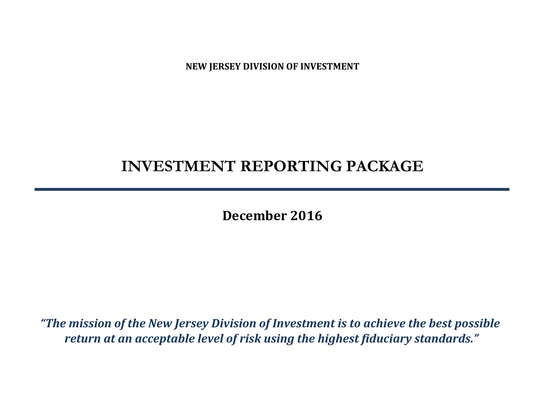**NEW JERSEY DIVISION OF INVESTMENT**

# **INVESTMENT REPORTING PACKAGE**

**December 2016**

*"The mission of the New Jersey Division of Investment is to achieve the best possible return at an acceptable level of risk using the highest fiduciary standards."*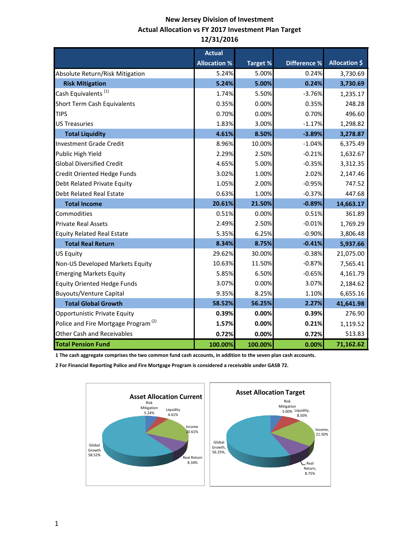# **New Jersey Division of Investment Actual Allocation vs FY 2017 Investment Plan Target 12/31/2016**

|                                                 | <b>Actual</b>       |                 |                     |                      |
|-------------------------------------------------|---------------------|-----------------|---------------------|----------------------|
|                                                 | <b>Allocation %</b> | <b>Target %</b> | <b>Difference %</b> | <b>Allocation \$</b> |
| Absolute Return/Risk Mitigation                 | 5.24%               | 5.00%           | 0.24%               | 3,730.69             |
| <b>Risk Mitigation</b>                          | 5.24%               | 5.00%           | 0.24%               | 3,730.69             |
| Cash Equivalents <sup>(1)</sup>                 | 1.74%               | 5.50%           | $-3.76%$            | 1,235.17             |
| <b>Short Term Cash Equivalents</b>              | 0.35%               | 0.00%           | 0.35%               | 248.28               |
| <b>TIPS</b>                                     | 0.70%               | 0.00%           | 0.70%               | 496.60               |
| <b>US Treasuries</b>                            | 1.83%               | 3.00%           | $-1.17%$            | 1,298.82             |
| <b>Total Liquidity</b>                          | 4.61%               | 8.50%           | $-3.89%$            | 3,278.87             |
| <b>Investment Grade Credit</b>                  | 8.96%               | 10.00%          | $-1.04%$            | 6,375.49             |
| Public High Yield                               | 2.29%               | 2.50%           | $-0.21%$            | 1,632.67             |
| <b>Global Diversified Credit</b>                | 4.65%               | 5.00%           | $-0.35%$            | 3,312.35             |
| Credit Oriented Hedge Funds                     | 3.02%               | 1.00%           | 2.02%               | 2,147.46             |
| Debt Related Private Equity                     | 1.05%               | 2.00%           | $-0.95%$            | 747.52               |
| <b>Debt Related Real Estate</b>                 | 0.63%               | 1.00%           | $-0.37%$            | 447.68               |
| <b>Total Income</b>                             | 20.61%              | 21.50%          | $-0.89%$            | 14,663.17            |
| Commodities                                     | 0.51%               | 0.00%           | 0.51%               | 361.89               |
| <b>Private Real Assets</b>                      | 2.49%               | 2.50%           | $-0.01%$            | 1,769.29             |
| <b>Equity Related Real Estate</b>               | 5.35%               | 6.25%           | $-0.90%$            | 3,806.48             |
| <b>Total Real Return</b>                        | 8.34%               | 8.75%           | $-0.41%$            | 5,937.66             |
| <b>US Equity</b>                                | 29.62%              | 30.00%          | $-0.38%$            | 21,075.00            |
| Non-US Developed Markets Equity                 | 10.63%              | 11.50%          | $-0.87%$            | 7,565.41             |
| <b>Emerging Markets Equity</b>                  | 5.85%               | 6.50%           | $-0.65%$            | 4,161.79             |
| <b>Equity Oriented Hedge Funds</b>              | 3.07%               | 0.00%           | 3.07%               | 2,184.62             |
| <b>Buyouts/Venture Capital</b>                  | 9.35%               | 8.25%           | 1.10%               | 6,655.16             |
| <b>Total Global Growth</b>                      | 58.52%              | 56.25%          | 2.27%               | 41,641.98            |
| Opportunistic Private Equity                    | 0.39%               | 0.00%           | 0.39%               | 276.90               |
| Police and Fire Mortgage Program <sup>(2)</sup> | 1.57%               | 0.00%           | 0.21%               | 1,119.52             |
| <b>Other Cash and Receivables</b>               | 0.72%               | 0.00%           | 0.72%               | 513.83               |
| <b>Total Pension Fund</b>                       | 100.00%             | 100.00%         | 0.00%               | 71,162.62            |

**1 The cash aggregate comprises the two common fund cash accounts, in addition to the seven plan cash accounts.** 

**2 For Financial Reporting Police and Fire Mortgage Program is considered a receivable under GASB 72.**

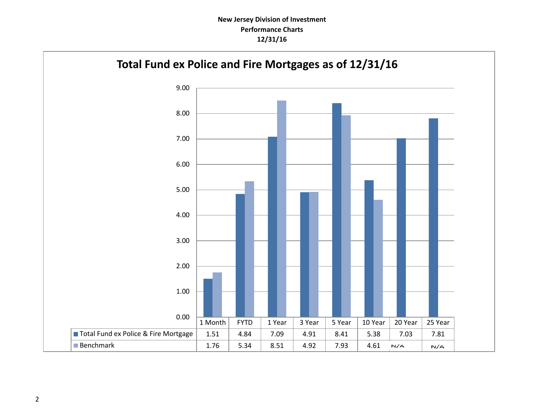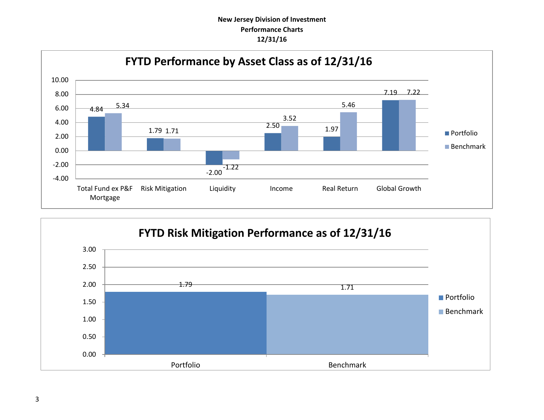

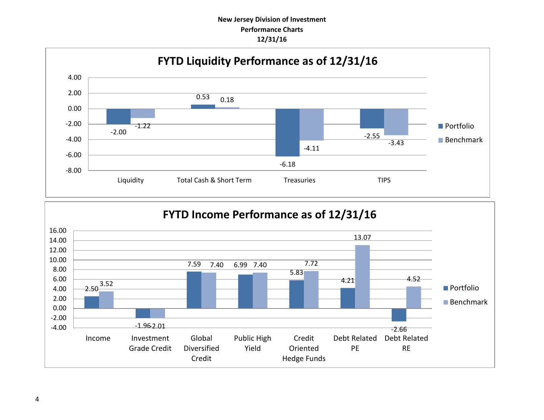

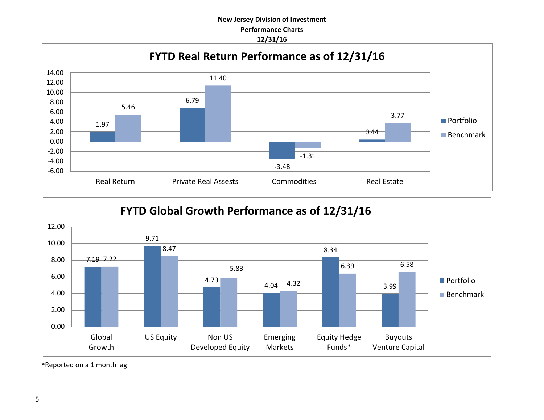



\*Reported on a 1 month lag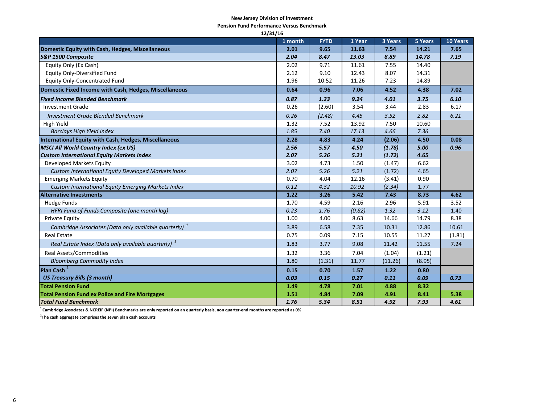#### **New Jersey Division of Investment**

**Pension Fund Performance Versus Benchmark**

| 12/31/16                                                          |         |             |        |         |         |                 |
|-------------------------------------------------------------------|---------|-------------|--------|---------|---------|-----------------|
|                                                                   | 1 month | <b>FYTD</b> | 1 Year | 3 Years | 5 Years | <b>10 Years</b> |
| Domestic Equity with Cash, Hedges, Miscellaneous                  | 2.01    | 9.65        | 11.63  | 7.54    | 14.21   | 7.65            |
| <b>S&amp;P 1500 Composite</b>                                     | 2.04    | 8.47        | 13.03  | 8.89    | 14.78   | 7.19            |
| Equity Only (Ex Cash)                                             | 2.02    | 9.71        | 11.61  | 7.55    | 14.40   |                 |
| <b>Equity Only-Diversified Fund</b>                               | 2.12    | 9.10        | 12.43  | 8.07    | 14.31   |                 |
| Equity Only-Concentrated Fund                                     | 1.96    | 10.52       | 11.26  | 7.23    | 14.89   |                 |
| Domestic Fixed Income with Cash, Hedges, Miscellaneous            | 0.64    | 0.96        | 7.06   | 4.52    | 4.38    | 7.02            |
| <b>Fixed Income Blended Benchmark</b>                             | 0.87    | 1.23        | 9.24   | 4.01    | 3.75    | 6.10            |
| <b>Investment Grade</b>                                           | 0.26    | (2.60)      | 3.54   | 3.44    | 2.83    | 6.17            |
| <b>Investment Grade Blended Benchmark</b>                         | 0.26    | (2.48)      | 4.45   | 3.52    | 2.82    | 6.21            |
| High Yield                                                        | 1.32    | 7.52        | 13.92  | 7.50    | 10.60   |                 |
| <b>Barclays High Yield Index</b>                                  | 1.85    | 7.40        | 17.13  | 4.66    | 7.36    |                 |
| <b>International Equity with Cash, Hedges, Miscellaneous</b>      | 2.28    | 4.83        | 4.24   | (2.06)  | 4.50    | 0.08            |
| <b>MSCI All World Country Index (ex US)</b>                       | 2.56    | 5.57        | 4.50   | (1.78)  | 5.00    | 0.96            |
| <b>Custom International Equity Markets Index</b>                  | 2.07    | 5.26        | 5.21   | (1.72)  | 4.65    |                 |
| Developed Markets Equity                                          | 3.02    | 4.73        | 1.50   | (1.47)  | 6.62    |                 |
| Custom International Equity Developed Markets Index               | 2.07    | 5.26        | 5.21   | (1.72)  | 4.65    |                 |
| <b>Emerging Markets Equity</b>                                    | 0.70    | 4.04        | 12.16  | (3.41)  | 0.90    |                 |
| Custom International Equity Emerging Markets Index                | 0.12    | 4.32        | 10.92  | (2.34)  | 1.77    |                 |
| <b>Alternative Investments</b>                                    | 1.22    | 3.26        | 5.42   | 7.43    | 8.73    | 4.62            |
| <b>Hedge Funds</b>                                                | 1.70    | 4.59        | 2.16   | 2.96    | 5.91    | 3.52            |
| HFRI Fund of Funds Composite (one month lag)                      | 0.23    | 1.76        | (0.82) | 1.32    | 3.12    | 1.40            |
| <b>Private Equity</b>                                             | 1.00    | 4.00        | 8.63   | 14.66   | 14.79   | 8.38            |
| Cambridge Associates (Data only available quarterly) <sup>1</sup> | 3.89    | 6.58        | 7.35   | 10.31   | 12.86   | 10.61           |
| <b>Real Estate</b>                                                | 0.75    | 0.09        | 7.15   | 10.55   | 11.27   | (1.81)          |
| Real Estate Index (Data only available quarterly) <sup>1</sup>    | 1.83    | 3.77        | 9.08   | 11.42   | 11.55   | 7.24            |
| Real Assets/Commodities                                           | 1.32    | 3.36        | 7.04   | (1.04)  | (1.21)  |                 |
| <b>Bloomberg Commodity Index</b>                                  | 1.80    | (1.31)      | 11.77  | (11.26) | (8.95)  |                 |
| Plan Cash <sup>2</sup>                                            | 0.15    | 0.70        | 1.57   | 1.22    | 0.80    |                 |
| <b>US Treasury Bills (3 month)</b>                                | 0.03    | 0.15        | 0.27   | 0.11    | 0.09    | 0.73            |
| <b>Total Pension Fund</b>                                         | 1.49    | 4.78        | 7.01   | 4.88    | 8.32    |                 |
| <b>Total Pension Fund ex Police and Fire Mortgages</b>            | 1.51    | 4.84        | 7.09   | 4.91    | 8.41    | 5.38            |
| <b>Total Fund Benchmark</b>                                       | 1.76    | 5.34        | 8.51   | 4.92    | 7.93    | 4.61            |

**<sup>1</sup>Cambridge Associates & NCREIF (NPI) Benchmarks are only reported on an quarterly basis, non quarter-end months are reported as 0%**

**2 The cash aggregate comprises the seven plan cash accounts**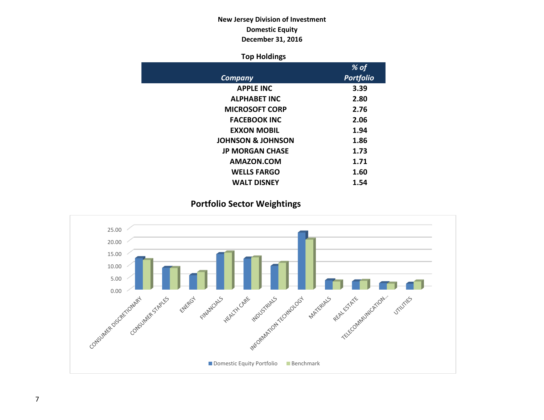# **New Jersey Division of Investment Domestic Equity December 31, 2016**

## **Top Holdings**

|                              | % of             |
|------------------------------|------------------|
| Company                      | <b>Portfolio</b> |
| <b>APPLE INC</b>             | 3.39             |
| <b>ALPHABET INC</b>          | 2.80             |
| <b>MICROSOFT CORP</b>        | 2.76             |
| <b>FACEBOOK INC</b>          | 2.06             |
| <b>EXXON MOBIL</b>           | 1.94             |
| <b>JOHNSON &amp; JOHNSON</b> | 1.86             |
| <b>JP MORGAN CHASE</b>       | 1.73             |
| AMAZON.COM                   | 1.71             |
| <b>WELLS FARGO</b>           | 1.60             |
| <b>WALT DISNEY</b>           | 1.54             |

# **Portfolio Sector Weightings**

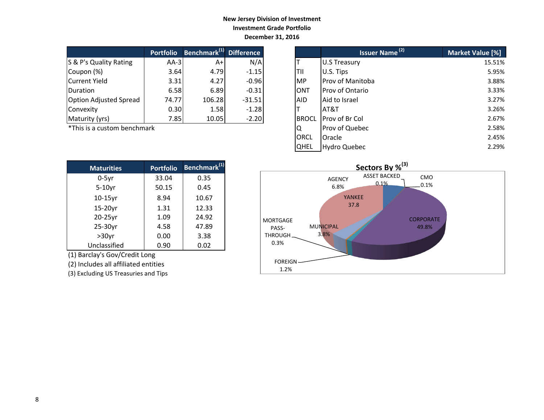## **New Jersey Division of Investment Investment Grade Portfolio December 31, 2016**

|                               | <b>Portfolio</b> | Benchmark <sup>(1)</sup> | <b>Difference</b> |
|-------------------------------|------------------|--------------------------|-------------------|
| S & P's Quality Rating        | $AA-3$           | A+l                      | N/A               |
| Coupon (%)                    | 3.64             | 4.79                     | $-1.15$           |
| <b>Current Yield</b>          | 3.31             | 4.27                     | $-0.96$           |
| Duration                      | 6.58             | 6.89                     | $-0.31$           |
| <b>Option Adjusted Spread</b> | 74.77            | 106.28                   | $-31.51$          |
| Convexity                     | 0.30             | 1.58                     | $-1.28$           |
| Maturity (yrs)                | 7.85             | 10.05                    | $-2.20$           |

| <b>Maturities</b> | <b>Portfolio</b> | Benchmark <sup>(1)</sup> |
|-------------------|------------------|--------------------------|
| $0-5yr$           | 33.04            | 0.35                     |
| $5-10$ yr         | 50.15            | 0.45                     |
| $10-15$ yr        | 8.94             | 10.67                    |
| 15-20yr           | 1.31             | 12.33                    |
| 20-25yr           | 1.09             | 24.92                    |
| 25-30yr           | 4.58             | 47.89                    |
| $>30$ yr          | 0.00             | 3.38                     |
| Unclassified      | 0.90             | 0.02                     |

(1) Barclay's Gov/Credit Long

(2) Includes all affiliated entities

(3) Excluding US Treasuries and Tips

|                             | <b>Portfolio</b> | Benchmark <sup>(1)</sup> Difference |          |              | Issuer Name <sup>(2)</sup> | Market Value [%] |
|-----------------------------|------------------|-------------------------------------|----------|--------------|----------------------------|------------------|
| S & P's Quality Rating      | $AA-3$           | $A+$                                | N/A      |              | <b>U.S Treasury</b>        | 15.51%           |
| Coupon (%)                  | 3.64             | 4.79                                | $-1.15$  | ITII         | U.S. Tips                  | 5.95%            |
| Current Yield               | 3.31             | 4.27                                | $-0.96$  | <b>IMP</b>   | <b>Prov of Manitoba</b>    | 3.88%            |
| <b>Duration</b>             | 6.58             | 6.89                                | $-0.31$  | <b>ONT</b>   | <b>Prov of Ontario</b>     | 3.33%            |
| Option Adjusted Spread      | 74.77            | 106.28                              | $-31.51$ | <b>AID</b>   | Aid to Israel              | 3.27%            |
| Convexity                   | 0.30             | 1.58                                | $-1.28$  |              | AT&T                       | 3.26%            |
| Maturity (yrs)              | 7.85             | 10.05                               | $-2.20$  | <b>BROCL</b> | <b>Prov of Br Col</b>      | 2.67%            |
| *This is a custom benchmark |                  |                                     |          | IQ           | <b>Prov of Quebec</b>      | 2.58%            |
|                             |                  |                                     |          | <b>ORCL</b>  | Oracle                     | 2.45%            |
|                             |                  |                                     |          | <b>QHEL</b>  | Hydro Quebec               | 2.29%            |

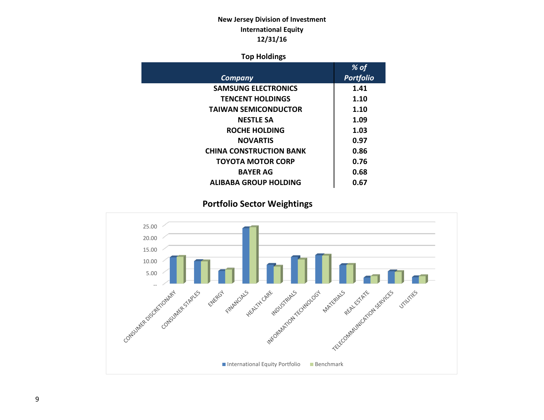# **New Jersey Division of Investment International Equity 12/31/16**

## **Top Holdings**

|                                | % of             |
|--------------------------------|------------------|
| Company                        | <b>Portfolio</b> |
| <b>SAMSUNG ELECTRONICS</b>     | 1.41             |
| <b>TENCENT HOLDINGS</b>        | 1.10             |
| <b>TAIWAN SEMICONDUCTOR</b>    | 1.10             |
| <b>NESTLE SA</b>               | 1.09             |
| <b>ROCHE HOLDING</b>           | 1.03             |
| <b>NOVARTIS</b>                | 0.97             |
| <b>CHINA CONSTRUCTION BANK</b> | 0.86             |
| <b>TOYOTA MOTOR CORP</b>       | 0.76             |
| <b>BAYER AG</b>                | 0.68             |
| <b>ALIBABA GROUP HOLDING</b>   | 0.67             |

 **Portfolio Sector Weightings**

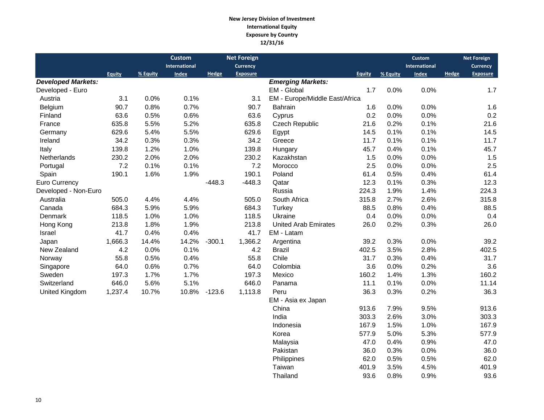#### **New Jersey Division of Investment International Equity Exposure by Country 12/31/16**

|                           |               |          | <b>Custom</b> |          | <b>Net Foreign</b> |                                |               |          | <b>Custom</b> |              | <b>Net Foreign</b> |
|---------------------------|---------------|----------|---------------|----------|--------------------|--------------------------------|---------------|----------|---------------|--------------|--------------------|
|                           |               |          | International |          | <b>Currency</b>    |                                |               |          | International |              | Currency           |
|                           | <b>Equity</b> | % Equity | <b>Index</b>  | Hedge    | <b>Exposure</b>    |                                | <b>Equity</b> | % Equity | <b>Index</b>  | <b>Hedge</b> | <b>Exposure</b>    |
| <b>Developed Markets:</b> |               |          |               |          |                    | <b>Emerging Markets:</b>       |               |          |               |              |                    |
| Developed - Euro          |               |          |               |          |                    | EM - Global                    | 1.7           | 0.0%     | 0.0%          |              | 1.7                |
| Austria                   | 3.1           | 0.0%     | 0.1%          |          | 3.1                | EM - Europe/Middle East/Africa |               |          |               |              |                    |
| Belgium                   | 90.7          | 0.8%     | 0.7%          |          | 90.7               | Bahrain                        | 1.6           | 0.0%     | 0.0%          |              | 1.6                |
| Finland                   | 63.6          | 0.5%     | 0.6%          |          | 63.6               | Cyprus                         | 0.2           | 0.0%     | 0.0%          |              | 0.2                |
| France                    | 635.8         | 5.5%     | 5.2%          |          | 635.8              | Czech Republic                 | 21.6          | 0.2%     | 0.1%          |              | 21.6               |
| Germany                   | 629.6         | 5.4%     | 5.5%          |          | 629.6              | Egypt                          | 14.5          | 0.1%     | 0.1%          |              | 14.5               |
| Ireland                   | 34.2          | 0.3%     | 0.3%          |          | 34.2               | Greece                         | 11.7          | 0.1%     | 0.1%          |              | 11.7               |
| Italy                     | 139.8         | 1.2%     | 1.0%          |          | 139.8              | Hungary                        | 45.7          | 0.4%     | 0.1%          |              | 45.7               |
| Netherlands               | 230.2         | 2.0%     | 2.0%          |          | 230.2              | Kazakhstan                     | 1.5           | 0.0%     | 0.0%          |              | 1.5                |
| Portugal                  | 7.2           | 0.1%     | 0.1%          |          | 7.2                | Morocco                        | 2.5           | 0.0%     | 0.0%          |              | 2.5                |
| Spain                     | 190.1         | 1.6%     | 1.9%          |          | 190.1              | Poland                         | 61.4          | 0.5%     | 0.4%          |              | 61.4               |
| Euro Currency             |               |          |               | $-448.3$ | $-448.3$           | Qatar                          | 12.3          | 0.1%     | 0.3%          |              | 12.3               |
| Developed - Non-Euro      |               |          |               |          |                    | Russia                         | 224.3         | 1.9%     | 1.4%          |              | 224.3              |
| Australia                 | 505.0         | 4.4%     | 4.4%          |          | 505.0              | South Africa                   | 315.8         | 2.7%     | 2.6%          |              | 315.8              |
| Canada                    | 684.3         | 5.9%     | 5.9%          |          | 684.3              | Turkey                         | 88.5          | 0.8%     | 0.4%          |              | 88.5               |
| Denmark                   | 118.5         | 1.0%     | 1.0%          |          | 118.5              | Ukraine                        | 0.4           | 0.0%     | 0.0%          |              | 0.4                |
| Hong Kong                 | 213.8         | 1.8%     | 1.9%          |          | 213.8              | <b>United Arab Emirates</b>    | 26.0          | 0.2%     | 0.3%          |              | 26.0               |
| Israel                    | 41.7          | 0.4%     | 0.4%          |          | 41.7               | EM - Latam                     |               |          |               |              |                    |
| Japan                     | 1,666.3       | 14.4%    | 14.2%         | $-300.1$ | 1,366.2            | Argentina                      | 39.2          | 0.3%     | 0.0%          |              | 39.2               |
| New Zealand               | 4.2           | 0.0%     | 0.1%          |          | 4.2                | <b>Brazil</b>                  | 402.5         | 3.5%     | 2.8%          |              | 402.5              |
| Norway                    | 55.8          | 0.5%     | 0.4%          |          | 55.8               | Chile                          | 31.7          | 0.3%     | 0.4%          |              | 31.7               |
| Singapore                 | 64.0          | 0.6%     | 0.7%          |          | 64.0               | Colombia                       | 3.6           | 0.0%     | 0.2%          |              | 3.6                |
| Sweden                    | 197.3         | 1.7%     | 1.7%          |          | 197.3              | Mexico                         | 160.2         | 1.4%     | 1.3%          |              | 160.2              |
| Switzerland               | 646.0         | 5.6%     | 5.1%          |          | 646.0              | Panama                         | 11.1          | 0.1%     | 0.0%          |              | 11.14              |
| <b>United Kingdom</b>     | 1,237.4       | 10.7%    | 10.8%         | $-123.6$ | 1,113.8            | Peru                           | 36.3          | 0.3%     | 0.2%          |              | 36.3               |
|                           |               |          |               |          |                    | EM - Asia ex Japan             |               |          |               |              |                    |
|                           |               |          |               |          |                    | China                          | 913.6         | 7.9%     | 9.5%          |              | 913.6              |
|                           |               |          |               |          |                    | India                          | 303.3         | 2.6%     | 3.0%          |              | 303.3              |
|                           |               |          |               |          |                    | Indonesia                      | 167.9         | 1.5%     | 1.0%          |              | 167.9              |
|                           |               |          |               |          |                    | Korea                          | 577.9         | 5.0%     | 5.3%          |              | 577.9              |
|                           |               |          |               |          |                    | Malaysia                       | 47.0          | 0.4%     | 0.9%          |              | 47.0               |
|                           |               |          |               |          |                    | Pakistan                       | 36.0          | 0.3%     | 0.0%          |              | 36.0               |

Thailand 93.6 0.8% 0.9% 93.6

 Philippines 62.0 0.5% 0.5% 62.0 Taiwan 101.9 401.9 3.5% 4.5% 401.9<br>Thailand 93.6 0.8% 0.9% 93.6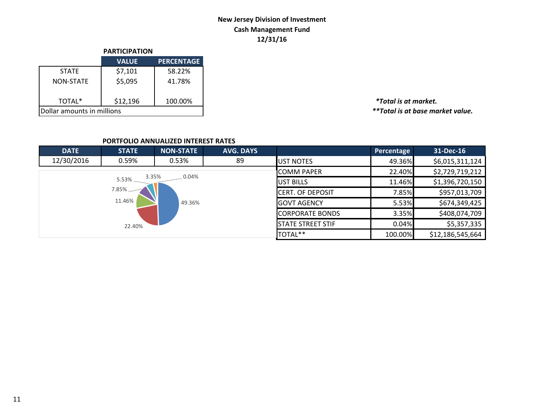# **New Jersey Division of Investment Cash Management Fund 12/31/16**

|                            | <b>PARTICIPATION</b> |                   |  |  |  |
|----------------------------|----------------------|-------------------|--|--|--|
|                            | <b>VALUE</b>         | <b>PERCENTAGE</b> |  |  |  |
| <b>STATE</b>               | \$7,101              | 58.22%            |  |  |  |
| <b>NON-STATE</b>           | \$5,095              | 41.78%            |  |  |  |
| TOTAL*                     | \$12,196             | 100.00%           |  |  |  |
| Dollar amounts in millions |                      |                   |  |  |  |

TOTAL\* \$12,196 100.00% *\*Total is at market.*  $*$ \*Total is at base market value.

### **PORTFOLIO ANNUALIZED INTEREST RATES**

| <b>DATE</b> | <b>STATE</b>   | <b>NON-STATE</b> | <b>AVG. DAYS</b> |                          | Percentage | 31-Dec-16        |
|-------------|----------------|------------------|------------------|--------------------------|------------|------------------|
| 12/30/2016  | 0.59%          | 0.53%            | 89               | <b>UST NOTES</b>         | 49.36%     | \$6,015,311,124  |
|             |                | 0.04%            |                  | <b>COMM PAPER</b>        | 22.40%     | \$2,729,719,212  |
|             | 3.35%<br>5.53% |                  |                  | <b>IUST BILLS</b>        | 11.46%     | \$1,396,720,150  |
|             | $7.85\%$ $-$   |                  |                  | <b>ICERT. OF DEPOSIT</b> | 7.85%      | \$957,013,709    |
|             | 11.46%         | 49.36%           |                  | <b>IGOVT AGENCY</b>      | 5.53%      | \$674,349,425    |
|             |                |                  |                  | <b>CORPORATE BONDS</b>   | 3.35%      | \$408,074,709    |
|             | 22.40%         |                  |                  | <b>STATE STREET STIF</b> | 0.04%      | \$5,357,335      |
|             |                |                  |                  | TOTAL**                  | 100.00%    | \$12,186,545,664 |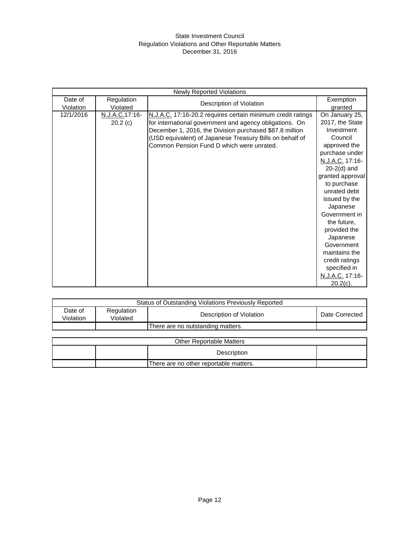#### State Investment Council Regulation Violations and Other Reportable Matters December 31, 2016

| <b>Newly Reported Violations</b> |                |                                                             |                  |  |  |  |  |
|----------------------------------|----------------|-------------------------------------------------------------|------------------|--|--|--|--|
| Date of                          | Regulation     | Description of Violation                                    | Exemption        |  |  |  |  |
| Violation                        | Violated       |                                                             | granted          |  |  |  |  |
| 12/1/2016                        | N.J.A.C.17:16- | N.J.A.C. 17:16-20.2 requires certain minimum credit ratings | On January 25,   |  |  |  |  |
|                                  | 20.2(c)        | for international government and agency obligations. On     | 2017, the State  |  |  |  |  |
|                                  |                | December 1, 2016, the Division purchased \$87.8 million     | Investment       |  |  |  |  |
|                                  |                | (USD equivalent) of Japanese Treasury Bills on behalf of    | Council          |  |  |  |  |
|                                  |                | Common Pension Fund D which were unrated.                   | approved the     |  |  |  |  |
|                                  |                |                                                             | purchase under   |  |  |  |  |
|                                  |                |                                                             | N.J.A.C. 17:16-  |  |  |  |  |
|                                  |                |                                                             | $20-2(d)$ and    |  |  |  |  |
|                                  |                |                                                             | granted approval |  |  |  |  |
|                                  |                |                                                             | to purchase      |  |  |  |  |
|                                  |                |                                                             | unrated debt     |  |  |  |  |
|                                  |                |                                                             | issued by the    |  |  |  |  |
|                                  |                |                                                             | Japanese         |  |  |  |  |
|                                  |                |                                                             | Government in    |  |  |  |  |
|                                  |                |                                                             | the future.      |  |  |  |  |
|                                  |                |                                                             | provided the     |  |  |  |  |
|                                  |                |                                                             | Japanese         |  |  |  |  |
|                                  |                |                                                             | Government       |  |  |  |  |
|                                  |                |                                                             | maintains the    |  |  |  |  |
|                                  |                |                                                             | credit ratings   |  |  |  |  |
|                                  |                |                                                             | specified in     |  |  |  |  |
|                                  |                |                                                             | N.J.A.C. 17:16-  |  |  |  |  |
|                                  |                |                                                             | $20.2(c)$ .      |  |  |  |  |

| Status of Outstanding Violations Previously Reported |                        |                                   |                |  |  |
|------------------------------------------------------|------------------------|-----------------------------------|----------------|--|--|
| Date of<br>Violation                                 | Regulation<br>Violated | Description of Violation          | Date Corrected |  |  |
|                                                      |                        | There are no outstanding matters. |                |  |  |

| <b>Other Reportable Matters</b> |             |                                        |  |  |  |  |  |
|---------------------------------|-------------|----------------------------------------|--|--|--|--|--|
|                                 | Description |                                        |  |  |  |  |  |
|                                 |             | There are no other reportable matters. |  |  |  |  |  |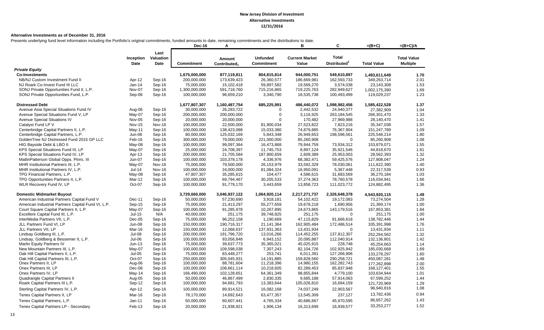#### **Alternative Investments as of December 31, 2016**

Presents underlying fund level information including the Portfolio's original commitments, funded amounts to date, remaining commitments and the distributions to date.

|                                                    |                          |                           | Dec-16            | Α                                  |                                      | в                              | С                                        | $=(B+C)$           | $=(B+C)/A$                            |
|----------------------------------------------------|--------------------------|---------------------------|-------------------|------------------------------------|--------------------------------------|--------------------------------|------------------------------------------|--------------------|---------------------------------------|
|                                                    | Inception<br><b>Date</b> | Last<br>Valuation<br>Date | <b>Commitment</b> | Amount<br>Contributed <sub>1</sub> | <b>Unfunded</b><br><b>Commitment</b> | <b>Current Market</b><br>Value | <b>Total</b><br>Distributed <sup>2</sup> | <b>Total Value</b> | <b>Total Value</b><br><b>Multiple</b> |
| <b>Private Equity</b>                              |                          |                           |                   |                                    |                                      |                                |                                          |                    |                                       |
| <b>Co-Investments</b>                              |                          |                           | 1,675,000,000     | 877,119,811                        | 804,815,814                          | 944,000,751                    | 549,610,897                              | 1,493,611,649      | 1.70                                  |
| NB/NJ Custom Investment Fund II                    | Apr-12                   | Sep-16                    | 200,000,000       | 173,639,423                        | 26,360,577                           | 186,669,981                    | 162,593,733                              | 349,263,714        | 2.01                                  |
| NJ Roark Co-Invest Fund III LLC                    | Jan-14                   | Sep-16                    | 75,000,000        | 15,102,418                         | 59,897,582                           | 19,569,270                     | 3,574,038                                | 23,143,308         | 1.53                                  |
| SONJ Private Opportunities Fund II, L.P.           | Nov-07                   | Sep-16                    | 1,300,000,000     | 591,718,760                        | 715,216,865                          | 719,225,763                    | 282,949,627                              | 1,002,175,390      | 1.69                                  |
| SONJ Private Opportunities Fund, L.P.              | Sep-06                   | Sep-16                    | 100,000,000       | 96,659,210                         | 3,340,790                            | 18,535,738                     | 100,493,499                              | 119,029,237        | 1.23                                  |
| <b>Distressed Debt</b>                             |                          |                           | 1,677,807,307     | 1,160,487,754                      | 685,225,991                          | 486,440,072                    | 1,098,982,456                            | 1,585,422,528      | 1.37                                  |
| Avenue Asia Special Situations Fund IV             | Aug-06                   | Sep-16                    | 30,000,000        | 26,283,722                         | $\Omega$                             | 2,442,532                      | 24,940,377                               | 27,382,909         | 1.04                                  |
| Avenue Special Situations Fund V, LP               | May-07                   | Sep-16                    | 200,000,000       | 200,000,000                        | $\Omega$                             | 3,116,925                      | 263,184,545                              | 266,301,470        | 1.33                                  |
| Avenue Special Situations IV                       | <b>Nov-05</b>            | Sep-16                    | 20,000,000        | 20,000,000                         | $\Omega$                             | 170,482                        | 27,969,988                               | 28,140,470         | 1.41                                  |
| Catalyst Fund LP V                                 | <b>Nov-15</b>            | <b>Nov-16</b>             | 100,000,000       | 22,500,000                         | 81,900,034                           | 27,523,822                     | 7,823,216                                | 35,347,038         | 1.57                                  |
| Centerbridge Capital Partners II, L.P.             | May-11                   | Sep-16                    | 100,000,000       | 138,423,088                        | 15,033,380                           | 74,879,885                     | 76,367,904                               | 151,247,789        | 1.09                                  |
| Centerbridge Capital Partners, L.P.                | Jun-06                   | Sep-16                    | 80,000,000        | 125,032,169                        | 5,843,348                            | 26,949,653                     | 198,596,561                              | 225,546,214        | 1.80                                  |
| GoldenTree NJ Distressed Fund 2015 GP LLC          | Feb-16                   | Sep-16                    | 300,000,000       | 79,000,000                         | 221,000,000                          | 85,260,908                     | $\Omega$                                 | 85,260,908         | 1.08                                  |
| HIG Bayside Debt & LBO II                          | May-08                   | Sep-16                    | 100,000,000       | 99,097,364                         | 16,473,868                           | 79,944,759                     | 73,934,312                               | 153,879,071        | 1.55                                  |
| KPS Special Situations Fund III, LP                | May-07                   | Sep-16                    | 25,000,000        | 24,708,397                         | 11,745,753                           | 8,897,124                      | 35,921,546                               | 44,818,670         | 1.81                                  |
| KPS Special Situations Fund IV, LP                 | Apr-13                   | Sep-16                    | 200,000,000       | 21,705,584                         | 187,900,659                          | 2,609,389                      | 25,953,003                               | 28,562,393         | 1.32                                  |
| MatlinPatterson Global Opps. Ptnrs. III            | Jun-07                   | Sep-16                    | 100,000,000       | 103,378,178                        | 4,336,976                            | 68,382,471                     | 59,425,576                               | 127,808,047        | 1.24                                  |
| MHR Institutional Partners III, L.P.               | May-07                   | <b>Nov-16</b>             | 75,000,000        | 79,500,000                         | 26,153,979                           | 33,592,329                     | 78,030,061                               | 111,622,390        | 1.40                                  |
| MHR Institutional Partners IV, L.P.                | $Jul-14$                 | <b>Nov-16</b>             | 100,000,000       | 24,000,000                         | 81,084,324                           | 16,950,091                     | 5,367,448                                | 22,317,539         | 0.93                                  |
| TPG Financial Partners, L.P.                       | May-08                   | Sep-16                    | 47,807,307        | 35,285,615                         | 104,477                              | 4,586,615                      | 31,683,569                               | 36,270,184         | 1.03                                  |
| TPG Opportunities Partners II, L.P.                | Mar-12                   | Sep-16                    | 100,000,000       | 69,794,467                         | 30,205,533                           | 37,274,363                     | 78,760,578                               | 116,034,941        | 1.66                                  |
| WLR Recovery Fund IV, LP                           | Oct-07                   | Sep-16                    | 100,000,000       | 91,779,170                         | 3,443,659                            | 13,858,723                     | 111,023,772                              | 124,882,495        | 1.36                                  |
| <b>Domestic Midmarket Buyout</b>                   |                          |                           | 3,729,660,000     | 3,046,937,122                      | 1,064,920,114                        | 2,217,271,737                  | 2,326,648,378                            | 4,543,920,115      | 1.49                                  |
| American Industrial Partners Capital Fund V        | Dec-11                   | Sep-16                    | 50,000,000        | 57,230,690                         | 3,918,181                            | 54,102,422                     | 19,172,083                               | 73,274,504         | 1.28                                  |
| American Industrial Partners Capital Fund VI, L.P. | Sep-15                   | Sep-16                    | 75,000,000        | 21,413,297                         | 55,277,659                           | 19,678,218                     | 1,690,956                                | 21,369,174         | 1.00                                  |
| Court Square Capital Partners II, L.P.             | May-07                   | Sep-16                    | 100,000,000       | 91,285,978                         | 10,267,895                           | 24,673,865                     | 143,179,516                              | 167,853,381        | 1.84                                  |
| Excellere Capital Fund III, L.P.                   | $Jul-15$                 | N/A                       | 40,000,000        | 251,175                            | 39,748,825                           | 251,175                        | $\mathbf 0$                              | 251,175            | 1.00                                  |
| InterMedia Partners VII, L.P.                      | $Dec-05$                 | Sep-16                    | 75,000,000        | 96,252,158                         | 1,190,669                            | 47,115,829                     | 91,666,618                               | 138,782,446        | 1.44                                  |
| JLL Partners Fund VI, LP                           | <b>Jun-08</b>            | Sep-16                    | 150,000,000       | 190,716,317                        | 21,141,364                           | 162,905,484                    | 172,486,514                              | 335,391,998        | 1.76                                  |
| JLL Partners VII, LP                               | Mar-16                   | Sep-16                    | 150,000,000       | 12,068,637                         | 137,931,363                          | 13,431,934                     | $\mathbf 0$                              | 13,431,934         | 1.11                                  |
| Lindsay Goldberg III, L.P.                         | $Jul-08$                 | Sep-16                    | 200,000,000       | 191,796,720                        | 13,016,266                           | 114,452,255                    | 137,812,307                              | 252,264,562        | 1.32                                  |
| Lindsay, Goldberg & Bessemer II, L.P.              | Jul-06                   | Sep-16                    | 100,000,000       | 93,056,848                         | 6,943,152                            | 20,095,887                     | 112,040,914                              | 132,136,801        | 1.42                                  |
| Marlin Equity Partners IV                          | $Jun-13$                 | Sep-16                    | 75,000,000        | 39,637,773                         | 35,365,021                           | 45,025,915                     | 228,748                                  | 45,254,663         | 1.14                                  |
| New Mountain Partners III, L.P.                    | May-07                   | Sep-16                    | 100,000,000       | 109,598,038                        | 7,307,243                            | 82,104,726                     | 102,925,942                              | 185,030,668        | 1.69                                  |
| Oak Hill Capital Partners II, L.P.                 | $Jul-05$                 | Sep-16                    | 75,000,000        | 83,448,277                         | 253,741                              | 6,011,391                      | 127,266,906                              | 133,278,297        | 1.60                                  |
| Oak Hill Capital Partners III, L.P.                | Oct-07                   | Sep-16                    | 250,000,000       | 305,045,931                        | 14,191,885                           | 159,828,560                    | 290,258,721                              | 450,087,281        | 1.48                                  |
| Onex Partners II, LP                               | Aug-06                   | Sep-16                    | 100,000,000       | 88,781,604                         | 11,218,396                           | 14,980,155                     | 162,282,743                              | 177.262.898        | 2.00                                  |
| Onex Partners III, LP                              | Dec-08                   | Sep-16                    | 100,000,000       | 108,661,114                        | 10,218,605                           | 82,289,453                     | 85,837,948                               | 168, 127, 401      | 1.55                                  |
| Onex Partners IV, LP                               | $May-14$                 | Sep-16                    | 166,490,000       | 102,128,651                        | 64,361,349                           | 98,855,844                     | 4,779,100                                | 103,634,944        | 1.01                                  |
| Quadrangle Capital Partners II                     | Aug-05                   | Sep-16                    | 50,000,000        | 46,867,499                         | 2,830,335                            | 9,685,188                      | 57,914,063                               | 67,599,252         | 1.44                                  |
| Roark Capital Partners III L.P.                    | Sep-12                   | Sep-16                    | 100,000,000       | 94,681,793                         | 13,383,644                           | 105,026,810                    | 16,694,159                               | 121,720,969        | 1.29                                  |
| Sterling Capital Partners IV, L.P.                 | Apr-12                   | Sep-16                    | 100,000,000       | 89,914,521                         | 16,082,168                           | 74,037,249                     | 22,903,567                               | 96,940,816         | 1.08                                  |
| Tenex Capital Partners II, LP                      | Mar-16                   | Sep-16                    | 78,170,000        | 14,692,643                         | 63,477,357                           | 13,545,309                     | 237,127                                  | 13,782,436         | 0.94                                  |
| Tenex Capital Partners, L.P.                       | Jan-11                   | Sep-16                    | 50,000,000        | 60,607,441                         | 4,765,334                            | 40,686,667                     | 45,970,595                               | 86,657,262         | 1.43                                  |
| Tenex Capital Partners LP - Secondary              | Feb-13                   | Sep-16                    | 20,000,000        | 21,938,921                         | 1,906,134                            | 16,313,699                     | 16,939,577                               | 33,253,277         | 1.52                                  |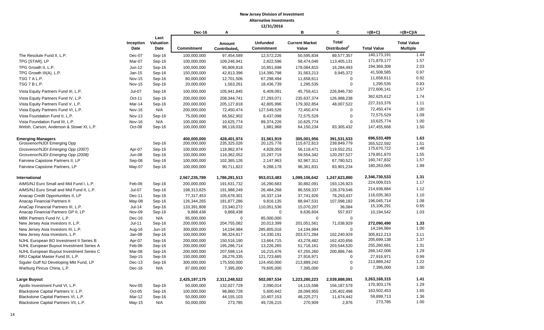|                                                         |                   |                           | <b>Dec-16</b>              | A                                  |                                      | B                              | C                                        | $=(B+C)$                   | $=(B+C)/A$                            |
|---------------------------------------------------------|-------------------|---------------------------|----------------------------|------------------------------------|--------------------------------------|--------------------------------|------------------------------------------|----------------------------|---------------------------------------|
|                                                         | Inception<br>Date | Last<br>Valuation<br>Date | <b>Commitment</b>          | Amount<br>Contributed <sub>1</sub> | <b>Unfunded</b><br><b>Commitment</b> | <b>Current Market</b><br>Value | <b>Total</b><br>Distributed <sup>2</sup> | <b>Total Value</b>         | <b>Total Value</b><br><b>Multiple</b> |
| The Resolute Fund II, L.P.                              | Dec-07            | Sep-16                    | 100,000,000                | 97,454,589                         | 12,572,226                           | 50,595,834                     | 89,577,357                               | 140,173,191                | 1.44                                  |
| TPG [STAR], LP                                          | Mar-07            | Sep-16                    | 100,000,000                | 109,246,941                        | 2,822,596                            | 58,474,046                     | 113,405,131                              | 171,879,177                | 1.57                                  |
| TPG Growth II, L.P.                                     | Jun-12            | Sep-16                    | 100,000,000                | 95,909,818                         | 10,851,698                           | 178,084,815                    | 16,284,493                               | 194,369,308                | 2.03                                  |
| TPG Growth III(A), L.P.                                 | Jan-15            | Sep-16                    | 150,000,000                | 42,813,396                         | 114,390,798                          | 31,563,213                     | 9,945,372                                | 41,508,585                 | 0.97                                  |
| TSG 7 A L.P.                                            | <b>Nov-15</b>     | Sep-16                    | 80,000,000                 | 12,701,506                         | 67,298,494                           | 11,658,611                     | $\Omega$                                 | 11,658,611                 | 0.92                                  |
| TSG 7 B L.P.                                            | <b>Nov-15</b>     | Sep-16                    | 20,000,000                 | 1,563,261                          | 18,436,739                           | 1,295,535                      | $\mathbf 0$                              | 1,295,535                  | 0.83                                  |
| Vista Equity Partners Fund III, L.P.                    | $Jul-07$          | Sep-16                    | 100,000,000                | 105,941,845                        | 6,409,091                            | 45,759,411                     | 226,846,730                              | 272,606,141                | 2.57                                  |
| Vista Equity Partners Fund IV, L.P.                     | Oct-11            | Sep-16                    | 200,000,000                | 208,344,741                        | 27,293,071                           | 235,637,374                    | 126,988,238                              | 362,625,612                | 1.74                                  |
| Vista Equity Partners Fund V, L.P.                      | Mar-14            | Sep-16                    | 200,000,000                | 205, 127, 818                      | 42,805,996                           | 179,302,854                    | 48,007,522                               | 227,310,376                | 1.11                                  |
| Vista Equity Partners Fund VI, L.P.                     | <b>Nov-16</b>     | N/A                       | 200,000,000                | 72,450,474                         | 127,549,526                          | 72,450,474                     | $\mathbf 0$                              | 72,450,474                 | 1.00                                  |
| Vista Foundation Fund II, L.P.                          | <b>Nov-13</b>     | Sep-16                    | 75,000,000                 | 66,562,902                         | 8,437,098                            | 72,575,529                     | $\mathbf 0$                              | 72,575,529                 | 1.09                                  |
| Vista Foundation Fund III, L.P.                         | <b>Nov-16</b>     | N/A                       | 100,000,000                | 10,625,774                         | 89,374,226                           | 10,625,774                     | $\Omega$                                 | 10,625,774                 | 1.00                                  |
| Welsh, Carson, Anderson & Stowe XI, L.P.                | Oct-08            | Sep-16                    | 100,000,000                | 98,118,032                         | 1,881,968                            | 64,150,234                     | 83,305,432                               | 147,455,666                | 1.50                                  |
| <b>Emerging Managers</b><br>Grosvenor/NJDI Emerging Opp |                   | Sep-16                    | 400,000,000<br>200,000,000 | 428,401,974<br>235,325,026         | 31,561,919<br>20,125,778             | 305,001,956<br>115,672,813     | 391,531,533<br>239,849,779               | 696,533,489<br>355,522,592 | 1.63<br>1.51                          |
| Grosvenor/NJDI Emerging Opp (2007)                      | Apr-07            | Sep-16                    | 100,000,000                | 118,962,974                        | 4,828,059                            | 56,118,471                     | 119,552,251                              | 175,670,722                | 1.48                                  |
| Grosvenor/NJDI Emerging Opp (2008)                      | <b>Jun-08</b>     | Sep-16                    | 100,000,000                | 116,362,052                        | 15,297,719                           | 59,554,342                     | 120,297,527                              | 179,851,870                | 1.55                                  |
| Fairview Capstone Partners II, LP                       | Sep-08            | Sep-16                    | 100,000,000                | 102,365,126                        | 2,147,963                            | 92,967,311                     | 67,780,521                               | 160,747,832                | 1.57                                  |
| Fairview Capstone Partners, LP                          | May-07            | Sep-16                    | 100,000,000                | 90,711,822                         | 9,288,178                            | 96,361,831                     | 83,901,234                               | 180,263,065                | 1.99                                  |
| <b>International</b>                                    |                   |                           | 2,567,235,789              | 1,786,281,513                      | 953,013,483                          | 1,099,106,642                  | 1,247,623,890                            | 2,346,730,533              | 1.31                                  |
| AIMS/NJ Euro Small and Mid Fund I. L.P.                 | Feb-06            | Sep-16                    | 200,000,000                | 191,631,732                        | 16,290,683                           | 30,882,091                     | 193,126,923                              | 224,009,015                | 1.17                                  |
| AIMS/NJ Euro Small and Mid Fund II, L.P.                | $Jul-07$          | Sep-16                    | 198,313,825                | 191,988,249                        | 26,484,268                           | 86,559,337                     | 128,379,546                              | 214,938,884                | 1.12                                  |
| Anacap Credit Opportunities II, LP                      | Dec-11            | Sep-16                    | 77,317,453                 | 105,678,301                        | 16,337,134                           | 37,741,926                     | 78,293,437                               | 116,035,363                | 1.10                                  |
| <b>Anacap Financial Partners II</b>                     | May-08            | Sep-16                    | 126,344,265                | 181,877,286                        | 9,816,135                            | 88,947,531                     | 107,098,182                              | 196,045,714                | 1.08                                  |
| AnaCap Financial Partners III, L.P.                     | $Jul-14$          | Sep-16                    | 133,391,808                | 23,340,272                         | 110,051,536                          | 15,070,207                     | 36,084                                   | 15,106,291                 | 0.65                                  |
| Anacap Financial Partners GP II, LP                     | <b>Nov-09</b>     | Sep-16                    | 9,868,438                  | 9,868,438                          | $\Omega$                             | 9,636,604                      | 557,937                                  | 10,194,542                 | 1.03                                  |
| MBK Partners Fund IV, L.P.                              | Dec-16            | N/A                       | 85,000,000                 | $\mathbf 0$                        | 85,000,000                           | $\mathbf 0$                    | $\mathbf 0$                              |                            |                                       |
| New Jersey Asia Investors II, L.P.                      | $Jul-11$          | Sep-16                    | 200,000,000                | 204,755,082                        | 20,013,399                           | 201,051,561                    | 71,038,929                               | 272,090,490                | 1.33                                  |
| New Jersey Asia Investors III, L.P.                     | Aug-16            | Jun-16                    | 300,000,000                | 14,194,984                         | 285,805,016                          | 14,194,984                     | $\mathbf 0$                              | 14,194,984                 | 1.00                                  |
| New Jersey Asia Investors, L.P.                         | Jan-08            | Sep-16                    | 100,000,000                | 98,324,817                         | 14,330,191                           | 203,571,284                    | 102,240,929                              | 305,812,213                | 3.11                                  |
| NJHL European BO Investment II Series B                 | Apr-07            | Sep-16                    | 200,000,000                | 150,516,190                        | 13,664,715                           | 43,278,482                     | 162,420,656                              | 205,699,138                | 1.37                                  |
| NJHL European Buyout Investment Series A                | Feb-06            | Sep-16                    | 200,000,000                | 195,286,714                        | 13,226,265                           | 51,716,161                     | 203,544,520                              | 255,260,681                | 1.31                                  |
| NJHL European Buyout Investment Series C                | Mar-08            | Sep-16                    | 200,000,000                | 207,598,114                        | 16,215,476                           | 67,255,260                     | 200,886,746                              | 268,142,006                | 1.29                                  |
| RRJ Capital Master Fund III, L.P.                       | Sep-15            | Sep-16                    | 150,000,000                | 28,276,335                         | 121,723,665                          | 27,916,971                     | $\mathbf 0$                              | 27,916,971                 | 0.99                                  |
| Siguler Guff NJ Developing Mkt Fund, LP                 | $Dec-13$          | Sep-16                    | 300,000,000                | 175,550,000                        | 124,450,000                          | 213,889,242                    | 0                                        | 213,889,242                | 1.22                                  |
| Warburg Pincus China, L.P.                              | $Dec-16$          | N/A                       | 87,000,000                 | 7,395,000                          | 79,605,000                           | 7,395,000                      | $\Omega$                                 | 7,395,000                  | 1.00                                  |
| Large Buyout                                            |                   |                           | 2,425,197,175              | 2,311,248,522                      | 502,087,534                          | 1,223,280,223                  | 2,039,888,091                            | 3,263,168,315              | 1.41                                  |
| Apollo Investment Fund VI, L.P.                         | <b>Nov-05</b>     | Sep-16                    | 50,000,000                 | 132,027,729                        | 2,090,014                            | 14,115,598                     | 156, 187, 579                            | 170,303,176                | 1.29                                  |
| Blackstone Capital Partners V, L.P.                     | $Oct-05$          | Sep-16                    | 100,000,000                | 98,860,728                         | 5,600,442                            | 28,099,955                     | 135,402,498                              | 163,502,453                | 1.65                                  |
| Blackstone Capital Partners VI, L.P.                    | Mar-12            | Sep-16                    | 50,000,000                 | 44,155,103                         | 10,407,153                           | 48,225,271                     | 11,674,442                               | 59,899,713                 | 1.36                                  |
| Blackstone Capital Partners VII, L.P.                   | $May-15$          | N/A                       | 50,000,000                 | 273,785                            | 49,726,215                           | 270,909                        | 2,876                                    | 273,785                    | 1.00                                  |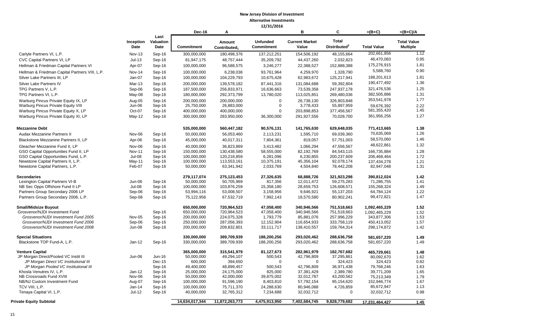|                                                                         |                         |                           | Dec-16                    | Α                                  |                               | B                              | C                                        | $=(B+C)$                  | $=(B+C)/A$                            |
|-------------------------------------------------------------------------|-------------------------|---------------------------|---------------------------|------------------------------------|-------------------------------|--------------------------------|------------------------------------------|---------------------------|---------------------------------------|
|                                                                         | Inception<br>Date       | Last<br>Valuation<br>Date | Commitment                | Amount<br>Contributed <sub>1</sub> | <b>Unfunded</b><br>Commitment | <b>Current Market</b><br>Value | <b>Total</b><br>Distributed <sup>2</sup> | <b>Total Value</b>        | <b>Total Value</b><br><b>Multiple</b> |
| Carlyle Partners VI, L.P.                                               | <b>Nov-13</b>           | Sep-16                    | 300,000,000               | 180,498,376                        | 137,212,251                   | 154,506,192                    | 48,155,664                               | 202,661,856               | 1.12                                  |
| CVC Capital Partners VI, LP                                             | $Jul-13$                | Sep-16                    | 81,947,175                | 48,757,444                         | 35,209,792                    | 44,437,260                     | 2,032,823                                | 46,470,083                | 0.95                                  |
| Hellman & Friedman Capital Partners VI                                  | Apr-07                  | Sep-16                    | 100,000,000               | 96,588,575                         | 3,246,277                     | 22,388,527                     | 152,888,388                              | 175,276,915               | 1.81                                  |
| Hellman & Friedman Capital Partners VIII, L.P.                          | Nov-14                  | Sep-16                    | 100,000,000               | 6,238,036                          | 93,761,964                    | 4,259,970                      | 1,328,790                                | 5,588,760                 | 0.90                                  |
| Silver Lake Partners III, LP                                            | Jan-07                  | Sep-16                    | 100,000,000               | 104,229,793                        | 10,675,428                    | 62,983,672                     | 125,217,941                              | 188,201,613               | 1.81                                  |
| Silver Lake Partners IV                                                 | Mar-13                  | Sep-16                    | 200,000,000               | 139,578,182                        | 87,441,316                    | 131,084,688                    | 59,392,804                               | 190,477,492               | 1.36                                  |
| TPG Partners V, L.P.                                                    | Sep-06                  | Sep-16                    | 187,500,000               | 256,833,971                        | 16,636,663                    | 73,539,358                     | 247,937,178                              | 321,476,536               | 1.25                                  |
| TPG Partners VI, L.P.                                                   | May-08                  | Sep-16                    | 180,000,000               | 292,373,799                        | 13,780,020                    | 113,025,851                    | 269,480,036                              | 382,505,886               | 1.31                                  |
| Warburg Pincus Private Equity IX, LP                                    |                         | Sep-16                    | 200.000.000               | 200.000.000                        | $\mathbf 0$                   | 26.738.130                     | 326.803.848                              | 353,541,978               | 1.77                                  |
| Warburg Pincus Private Equity VIII                                      | Aug-05<br>Jun-06        | Sep-16                    | 25,750,000                | 26,883,000                         | $\boldsymbol{0}$              | 3,778,433                      | 55,897,959                               | 59,676,392                | 2.22                                  |
| Warburg Pincus Private Equity X, LP                                     | Oct-07                  | Sep-16                    | 400,000,000               | 400,000,000                        | $\mathbf 0$                   | 203,898,853                    | 377,456,567                              | 581,355,420               | 1.45                                  |
| Warburg Pincus Private Equity XI, LP                                    | May-12                  | Sep-16                    | 300,000,000               | 283,950,000                        | 36,300,000                    | 291,927,556                    | 70,028,700                               | 361,956,256               | 1.27                                  |
| <b>Mezzanine Debt</b>                                                   |                         |                           | 535,000,000               | 560,447,182                        | 90,576,131                    | 141,765,630                    | 629,648,035                              | 771,413,665               | 1.38                                  |
| Audax Mezzanine Partners II                                             | Nov-06                  | Sep-16                    | 50,000,000                | 56,053,460                         | 2,113,231                     | 1,595,710                      | 69,039,360                               | 70,635,069                | 1.26                                  |
| Blackstone Mezzanine Partners II, LP                                    | Apr-06                  | Sep-16                    | 45,000,000                | 40,017,311                         | 7,804,361                     | 819,057                        | 57,751,003                               | 58,570,060                | 1.46                                  |
|                                                                         |                         |                           |                           |                                    |                               |                                |                                          | 48,622,861                | 1.32                                  |
| Gleacher Mezzanine Fund II, LP<br>GSO Capital Opportunities Fund II, LP | Nov-06<br><b>Nov-11</b> | Sep-16<br>Sep-16          | 40,000,000<br>150,000,000 | 36,823,869<br>130,438,580          | 3,413,482<br>58,555,000       | 1,066,294<br>82,192,769        | 47,556,567<br>84,543,115                 | 166,735,884               | 1.28                                  |
| GSO Capital Opportunities Fund, L.P.                                    | $Jul-08$                | Sep-16                    | 100,000,000               | 120,218,859                        | 6,281,096                     | 6,230,855                      | 200,237,609                              | 206,468,464               | 1.72                                  |
| Newstone Capital Partners II, L.P.                                      | May-11                  | Sep-16                    | 100,000,000               | 113,553,161                        | 10,375,191                    | 45,356,104                     | 92,078,174                               | 137,434,278               | 1.21                                  |
| Newstone Capital Partners, L.P.                                         | Feb-07                  | Sep-16                    | 50,000,000                | 63,341,942                         | 2,033,769                     | 4,504,840                      | 78,442,208                               | 82,947,048                | 1.31                                  |
| <b>Secondaries</b>                                                      |                         |                           | 279.117.074               | 275,123,453                        | 27.326.635                    | 68.888.726                     | 321.923.298                              | 390,812,024               | 1.42                                  |
| Lexington Capital Partners VI-B                                         | Jun-06                  | Sep-16                    | 50,000,000                | 50,705,969                         | 817,356                       | 12,011,472                     | 59,275,283                               | 71,286,755                | 1.41                                  |
| NB Sec Opps Offshore Fund II LP                                         | Jul-08                  | Sep-16                    | 100,000,000               | 103,876,259                        | 15,358,180                    | 28,659,753                     | 126,608,571                              | 155,268,324               | 1.49                                  |
| Partners Group Secondary 2006 LP                                        | Sep-06                  | Sep-16                    | 53,994,116                | 53,008,507                         | 3,158,956                     | 9,646,921                      | 55,137,203                               | 64,784,124                | 1.22                                  |
| Partners Group Secondary 2008, L.P.                                     | Sep-08                  | Sep-16                    | 75,122,958                | 67,532,719                         | 7,992,143                     | 18,570,580                     | 80,902,241                               | 99,472,821                | 1.47                                  |
| <b>Small/Midsize Buyout</b>                                             |                         |                           | 650,000,000               | 720,964,523                        | 47,058,400                    | 340,946,566                    | 751,518,663                              | 1,092,465,229             | 1.52                                  |
| Grosvenor/NJDI Investment Fund                                          |                         | Sep-16                    | 650,000,000               | 720,964,523                        | 47,058,400                    | 340,946,566                    | 751,518,663                              | 1,092,465,229             | 1.52                                  |
| Grosvenor/NJDI Investment Fund 2005                                     | <b>Nov-05</b>           | Sep-16                    | 200,000,000               | 224,075,328                        | 1,793,779                     | 85,881,076                     | 257,996,229                              | 343,877,306               | 1.53                                  |
| Grosvenor/NJDI Investment Fund 2006                                     | Sep-06                  | Sep-16                    | 250,000,000               | 287,056,393                        | 12,152,904                    | 116,654,933                    | 333,758,119                              | 450,413,052               | 1.57                                  |
| Grosvenor/NJDI Investment Fund 2008                                     | <b>Jun-08</b>           | Sep-16                    | 200,000,000               | 209,832,801                        | 33,111,717                    | 138,410,557                    | 159,764,314                              | 298,174,872               | 1.42                                  |
| <b>Special Situations</b>                                               |                         |                           | 330,000,000               | 389,709,939                        | 188,200,256                   | 293,020,462                    | 288,636,758                              | 581,657,220               | 1.49                                  |
| Blackstone TOP Fund-A, L.P.                                             | Jan-12                  | Sep-16                    | 330,000,000               | 389,709,939                        | 188,200,256                   | 293,020,462                    | 288,636,758                              | 581,657,220               | 1.49                                  |
| <b>Venture Capital</b>                                                  |                         |                           | 365,000,000               | 315,541,979                        | 81,127,673                    | 282,961,979                    | 182,767,682                              | 465.729.661               | 1.48                                  |
| JP Morgan Direct/Pooled VC Instit III                                   | Jun-06                  | Jun-16                    | 50,000,000                | 49,294,107                         | 500,543                       | 42,796,809                     | 37,295,861                               | 80,092,670                | 1.62                                  |
| JP Morgan Direct VC Institutional III                                   |                         | Dec-15                    | 600,000                   | 394,650                            | $\Omega$                      | $\Omega$                       | 324,423                                  | 324,423                   | 0.82                                  |
| JP Morgan Pooled VC Institutional III                                   |                         | Sep-16                    | 49,400,000                | 48,899,457                         | 500,543                       | 42,796,809                     | 36,971,438                               | 79,768,246                | 1.63                                  |
| Khosla Venutres IV, L.P.                                                | $Jan-12$                | Sep-16                    | 25,000,000                | 24,175,000                         | 825,000                       | 37,381,429                     | 2,389,780                                | 39,771,209                | 1.65                                  |
| NB Crossroads Fund XVIII<br>NB/NJ Custom Investment Fund                | Nov-06                  | Sep-16                    | 50,000,000<br>100,000,000 | 42,000,000<br>91,596,190           | 39,875,002<br>8,403,810       | 32,012,787<br>57,792,154       | 43,200,562<br>95,154,620                 | 75,213,349<br>152,946,774 | 1.79<br>1.67                          |
| TCV VIII. L.P.                                                          | Aug-07<br>Jan-14        | Sep-16<br>Sep-16          | 100,000,000               | 75,711,370                         | 24,288,630                    | 80,946,088                     | 4,726,859                                | 85,672,947                | 1.13                                  |
| Tenaya Capital VI, L.P.                                                 | $Jul-12$                | Sep-16                    | 40,000,000                | 32,765,312                         | 7,234,688                     | 32,032,712                     | $\mathbf 0$                              | 32,032,712                | 0.98                                  |
| <b>Private Equity Subtotal</b>                                          |                         |                           | 14,634,017,344            | 11,872,263,773                     | 4,475,913,950                 | 7,402,684,745                  | 9,828,779,682                            | 17,231,464,427            | 1.45                                  |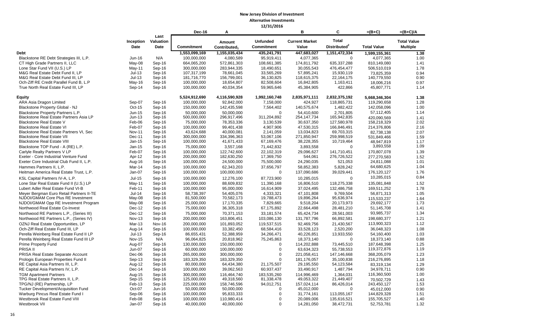|                                           |               |                   | Dec-16        | A                        |                          | B                       | C                        | =(B+C)             | $=(B+C)/A$         |
|-------------------------------------------|---------------|-------------------|---------------|--------------------------|--------------------------|-------------------------|--------------------------|--------------------|--------------------|
|                                           | Inception     | Last<br>Valuation |               | Amount                   | <b>Unfunded</b>          | <b>Current Market</b>   | <b>Total</b>             |                    | <b>Total Value</b> |
|                                           | Date          | Date              | Commitment    | Contributed <sub>1</sub> | <b>Commitment</b>        | Value                   | Distributed <sup>2</sup> | <b>Total Value</b> | <b>Multiple</b>    |
| <b>Debt</b>                               |               |                   | 1,553,099,169 | 1,155,035,434            | 435,241,791              | 447,683,027             | 1,151,472,334            | 1,599,155,361      | 1.38               |
| Blackstone RE Debt Strategies III, L.P.   | <b>Jun-16</b> | N/A               | 100,000,000   | 4,080,589                | 95,919,411               | 4.077.365               | $\mathbf 0$              | 4,077,365          | 1.00               |
| CT High Grade Partners II, LLC            | May-08        | Sep-16            | 664,065,200   | 572,861,303              | 108,661,385              | 174,811,792             | 635,337,288              | 810,149,080        | 1.41               |
| Lone Star Fund VII (U.S.) LP              | $May-11$      | Sep-16            | 300,000,000   | 283,944,335              | 18,490,651               | 30,055,543              | 476,454,477              | 506,510,019        | 1.78               |
| M&G Real Estate Debt Fund II, LP          | $Jul-13$      | Sep-16            | 107,317,199   | 78,661,045               | 33,565,269               | 57,895,241              | 15,930,119               | 73,825,359         | 0.94               |
| M&G Real Estate Debt Fund III. LP         | $Jul-13$      | Sep-16            | 181,716,770   | 156,799,001              | 36,130,825               | 118,615,375             | 22,164,175               | 140,779,550        | 0.90               |
| Och-Ziff RE Credit Parallel Fund B, L.P   | $May-16$      | Sep-16            | 100,000,000   | 18,654,807               | 82,508,604               | 16,842,805              | 1,163,411                | 18,006,216         | 0.97               |
| True North Real Estate Fund III, LP       | Sep-14        | Sep-16            | 100,000,000   | 40,034,354               | 59,965,646               | 45,384,905              | 422,866                  | 45,807,771         | 1.14               |
| <b>Equity</b>                             |               |                   | 5,524,912,690 | 4,116,590,928            | 1,992,160,748            | 2,835,971,111           | 2,832,375,192            | 5,668,346,304      | 1.38               |
| ARA Asia Dragon Limited                   | Sep-07        | Sep-16            | 100,000,000   | 92,842,000               | 7,158,000                | 424,927                 | 118,865,731              | 119,290,658        | 1.28               |
| Blackstone Property Global - NJ           | Oct-15        | Sep-16            | 150,000,000   | 142,435,598              | 7,564,402                | 140,575,674             | 1,482,422                | 142,058,096        | 1.00               |
| Blackstone Property Partners L.P.         | Jun-15        | Sep-16            | 50,000,000    | 50,000,000               | $\Omega$                 | 54,410,600              | 2,701,805                | 57,112,405         | 1.14               |
| Blackstone Real Estate Partners Asia LP   | $Jun-13$      | Sep-16            | 500,000,000   | 296,917,496              | 311,204,892              | 254, 147, 734           | 165,942,835              | 420.090.569        | 1.41               |
| Blackstone Real Estate V                  | Feb-06        | Sep-16            | 75,000,000    | 78,353,336               | 3,130,539                | 30,637,350              | 127,580,978              | 158,218,329        | 2.02               |
| <b>Blackstone Real Estate VI</b>          | Feb-07        | Sep-16            | 100,000,000   | 99.401.438               | 4,907,906                | 47,530,315              | 166,846,491              | 214,376,806        | 2.16               |
| Blackstone Real Estate Partners VI, Sec   | <b>Nov-11</b> | Sep-16            | 43,624,688    | 40,000,081               | 2,141,059                | 13,034,823              | 69,703,315               | 82,738,138         | 2.07               |
| <b>Blackstone Real Estate VII</b>         | Dec-11        | Sep-16            | 300,000,000   | 334,396,363              | 53,067,106               | 271,850,947             | 259,998,519              | 531,849,466        | 1.59               |
| <b>Blackstone Real Estate VIII</b>        | $Jan-15$      | Sep-16            | 100,000,000   | 41,671,433               | 67,169,476               | 38,228,355              | 10,719,464               | 48,947,819         | 1.17               |
| Blackstone TOP Fund - A (RE) L.P.         | $Jan-15$      |                   | 75.000.000    | 3,557,168                |                          |                         | $\Omega$                 | 3,893,558          | 1.09               |
| Carlyle Realty Partners V LP              | Feb-07        | Sep-16<br>Sep-16  | 100,000,000   | 122,742,600              | 71,442,832<br>22,102,319 | 3,893,558<br>29,096,627 | 141,710,451              | 170,807,078        |                    |
|                                           |               |                   |               |                          |                          |                         |                          |                    | 1.39               |
| Exeter - Core Industrial Venture Fund     | Apr-12        | Sep-16            | 200,000,000   | 182,630,250              | 17,369,750               | 544,061                 | 276,726,522              | 277,270,583        | 1.52               |
| Exeter Core Industrial Club Fund II, L.P. | Aug-16        | Sep-16            | 100,000,000   | 24,500,000               | 75,500,000               | 24,290,035              | 521,053                  | 24.811.088         | 1.01               |
| Hammes Partners II, L.P.                  | Mar-14        | Sep-16            | 100,000,000   | 62,343,203               | 37,656,797               | 58,852,383              | 5,828,242                | 64,680,625         | 1.04               |
| Heitman America Real Estate Trust, L.P.   | Jan-07        | Sep-16            | 100,000,000   | 100,000,000              | $\Omega$                 | 137,090,686             | 39,029,441               | 176,120,127        | 1.76               |
| KSL Capital Partners IV-A, L.P.           | $Jul-15$      | Sep-16            | 100,000,000   | 12,276,100               | 87,723,900               | 10,285,015              | $\Omega$                 | 10,285,015         | 0.84               |
| Lone Star Real Estate Fund II (U.S.) LP   | May-11        | Sep-16            | 100,000,000   | 88,609,832               | 11,390,168               | 16,806,510              | 118,275,338              | 135,081,848        | 1.52               |
| Lubert Adler Real Estate Fund VI-B        | Feb-11        | Sep-16            | 100,000,000   | 95,000,000               | 16,614,909               | 37,024,495              | 132,486,758              | 169,511,252        | 1.78               |
| Meyer Bergman Euro Retail Partners II-TE  | $Jul-14$      | Sep-16            | 58,738,397    | 54,405,076               | 4,333,321                | 47,101,808              | 9.769.504                | 56,871,313         | 1.05               |
| NJDOI/GMAM Core Plus RE Investment        | May-08        | Sep-16            | 81,500,000    | 70,582,173               | 19,788,473               | 19,896,264              | 95,636,974               | 115,533,237        | 1.64               |
| NJDOI/GMAM Opp RE Investment Program      | May-08        | Sep-16            | 25,000,000    | 17,170,335               | 7,829,665                | 9,518,204               | 20,173,973               | 29,692,177         | 1.73               |
| Northwood Real Estate Co-Invest           | Dec-12        | Sep-16            | 75,000,000    | 36,305,318               | 67,175,892               | 22,664,498              | 28,481,210               | 51,145,708         | 1.41               |
| Northwood RE Partners L.P., (Series III)  | Dec-12        | Sep-16            | 75,000,000    | 70,371,153               | 33,181,574               | 65,424,734              | 28,561,003               | 93,985,737         | 1.34               |
| Northwood RE Partners L.P., (Series IV)   | <b>Nov-13</b> | Sep-16            | 200,000,000   | 163,806,451              | 103,086,130              | 131,787,796             | 66,892,581               | 198.680.377        | 1.21               |
| OZNJ Real Estate Opportunities, LP        | Mar-13        | <b>Nov-16</b>     | 200,000,000   | 101,893,052              | 119,537,515              | 92,469,756              | 21,430,567               | 113,900,323        | 1.12               |
| Och-Ziff Real Estate Fund III, LP         | Aug-14        | Sep-16            | 100,000,000   | 33,382,450               | 68,584,416               | 33,528,123              | 2,520,200                | 36,048,323         | 1.08               |
| Perella Weinberg Real Estate Fund II LP   | $Jul-13$      | Sep-16            | 86,655,431    | 52,388,959               | 34,266,471               | 40,226,851              | 13,933,550               | 54,160,400         | 1.03               |
| Perella Weinberg Real Estate Fund III LP  | <b>Nov-15</b> | N/A               | 96,064,825    | 20,818,962               | 75,245,863               | 18,373,140              | $\Omega$                 | 18,373,140         | 0.88               |
| Prime Property Fund                       | Aug-07        | Sep-16            | 130,000,000   | 150,000,000              | $\Omega$                 | 114,202,888             | 73,445,510               | 187,648,398        | 1.25               |
| PRISA II                                  |               |                   | 60,000,000    | 100,000,000              | $\overline{0}$           | 63,634,323              | 55,738,553               | 119,372,876        | 1.19               |
|                                           | Jun-07        | Sep-16            |               |                          |                          |                         |                          |                    |                    |
| PRISA Real Estate Separate Account        | Dec-06        | Sep-16            | 265,000,000   | 300,000,000              | $\overline{0}$           | 221,058,411             | 147,146,668              | 368,205,079        | 1.23               |
| Prologis European Properties Fund II      | Sep-13        | Sep-16            | 183,329,350   | 183,329,350              | $\Omega$                 | 181,176,057             | 35,100,838               | 216,276,895        | 1.18               |
| RE Capital Asia Partners III, L.P.        | Aug-12        | Sep-16            | 80,000,000    | 64,434,380               | 21,175,507               | 29,195,550              | 54,123,584               | 83,319,134         | 1.29               |
| RE Capital Asia Partners IV, L.P.         | Dec-14        | Sep-16            | 100,000,000   | 39,062,563               | 60,937,437               | 33,490,917              | 1,487,794                | 34,978,711         | 0.90               |
| <b>TGM Apartment Partners</b>             | Aug-15        | Sep-16            | 300,000,000   | 116,464,740              | 183,535,260              | 114,996,469             | 1,364,031                | 116,360,500        | 1.00               |
| TPG Real Estate Partners II, L.P.         | Sep-15        | Sep-16            | 125,000,000   | 49,318,560               | 81,338,478               | 49,053,322              | 21,449,407               | 70,502,729         | 1.43               |
| TPG/NJ (RE) Partnership, LP               | Feb-13        | Sep-16            | 225,000,000   | 158,746,596              | 94,012,751               | 157,024,114             | 86,426,014               | 243,450,127        | 1.53               |
| Tucker Development/Acquisition Fund       | Oct-07        | $Jun-16$          | 50,000,000    | 50,000,000               | $\Omega$                 | 45,012,000              | $\Omega$                 | 45,012,000         | 0.90               |
| Warburg Pincus Real Estate Fund I         | Sep-06        | Sep-16            | 100,000,000   | 95,833,333               | $\Omega$                 | 31,774,161              | 113,055,167              | 144,829,328        | 1.51               |
| Westbrook Real Estate Fund VIII           | Feb-08        | Sep-16            | 100,000,000   | 110,980,414              | $\mathbf 0$              | 20,089,006              | 135,616,521              | 155,705,527        | 1.40               |
| Westbrook VII                             | Jan-07        | Sep-16            | 40,000,000    | 40,000,000               | $\Omega$                 | 14,281,050              | 38,472,731               | 52,753,781         | 1.32               |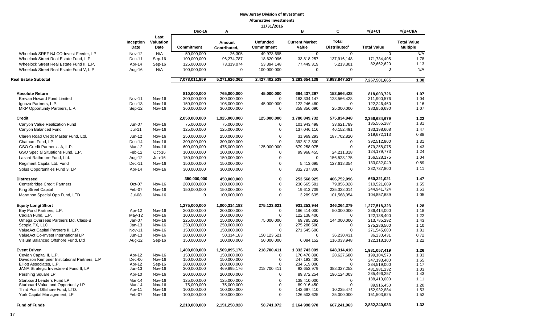|                                                                   |                   |                           | Dec-16                    | Α                                  | 14/31/4010                           | в                              | C                                        | $=(B+C)$                   | $=(B+C)/A$                            |
|-------------------------------------------------------------------|-------------------|---------------------------|---------------------------|------------------------------------|--------------------------------------|--------------------------------|------------------------------------------|----------------------------|---------------------------------------|
|                                                                   | Inception<br>Date | Last<br>Valuation<br>Date | <b>Commitment</b>         | Amount<br>Contributed <sub>1</sub> | <b>Unfunded</b><br><b>Commitment</b> | <b>Current Market</b><br>Value | <b>Total</b><br>Distributed <sup>2</sup> | <b>Total Value</b>         | <b>Total Value</b><br><b>Multiple</b> |
| Wheelock SREF NJ CO-Invest Feeder, LP                             | <b>Nov-12</b>     | N/A                       | 50,000,000                | 26,305                             | 49,973,695                           | 0                              | $\mathbf 0$                              | 0                          | N/A                                   |
| Wheelock Street Real Estate Fund, L.P.                            | Dec-11            | Sep-16                    | 100,000,000               | 96,274,787                         | 18,620,096                           | 33,818,257                     | 137,916,148                              | 171,734,405                | 1.78                                  |
| Wheelock Street Real Estate Fund II, L.P.                         | Apr-14            | Sep-16                    | 125,000,000               | 73,319,074                         | 53,394,148                           | 77,449,319                     | 5,213,301                                | 82,662,620                 | 1.13                                  |
| Wheelock Street Real Estate Fund V, L.P                           | Aug-16            | N/A                       | 100,000,000               | 0                                  | 100,000,000                          | 0                              | 0                                        | 0                          | N/A                                   |
| Real Estate Subtotal                                              |                   |                           | 7,078,011,859             | 5,271,626,362                      | 2,427,402,539                        | 3,283,654,138                  | 3,983,847,527                            | 7,267,501,665              | 1.38                                  |
| <b>Absolute Return</b>                                            |                   |                           | 810,000,000               | 765,000,000                        | 45,000,000                           | 664.437.297                    | 153,566,428                              | 818.003.726                | 1.07                                  |
| <b>Brevan Howard Fund Limited</b>                                 | <b>Nov-11</b>     | <b>Nov-16</b>             | 300,000,000               | 300,000,000                        | $\Omega$                             | 183,334,147                    | 128,566,428                              | 311,900,576                | 1.04                                  |
| Iquazu Partners, L.P.                                             | Dec-13            | <b>Nov-16</b>             | 150,000,000               | 105,000,000                        | 45,000,000                           | 122,246,460                    | $\mathbf 0$                              | 122,246,460                | 1.16                                  |
| MKP Opportunity Partners, L.P.                                    | Sep-12            | Nov-16                    | 360,000,000               | 360,000,000                        | $\Omega$                             | 358,856,690                    | 25,000,000                               | 383,856,690                | 1.07                                  |
| <b>Credit</b>                                                     |                   |                           | 2,050,000,000             | 1,925,000,000                      | 125,000,000                          | 1,780,849,732                  | 575,834,948                              | 2,356,684,679              | 1.22                                  |
| Canyon Value Realization Fund                                     | Jun-07            | <b>Nov-16</b>             | 75,000,000                | 75,000,000                         | $\mathbf 0$                          | 101,943,498                    | 33,621,789                               | 135,565,287                | 1.81                                  |
| Canyon Balanced Fund                                              | $Jul-11$          | Nov-16                    | 125,000,000               | 125,000,000                        | $\mathbf 0$                          | 137,046,116                    | 46,152,491                               | 183,198,608                | 1.47                                  |
| Claren Road Credit Master Fund, Ltd.                              | Jun-12            | <b>Nov-16</b>             | 250,000,000               | 250,000,000                        | $\mathbf 0$                          | 31,969,293                     | 187,702,820                              | 219,672,113                | 0.88                                  |
| Chatham Fund, LP                                                  | Dec-14            | <b>Nov-16</b>             | 300,000,000               | 300,000,000                        | $\Omega$                             | 392,512,800                    | 0                                        | 392,512,800                | 1.31                                  |
| GSO Credit Partners - A, L.P.                                     | Mar-12            | <b>Nov-16</b>             | 600,000,000               | 475,000,000                        | 125,000,000                          | 679,258,075                    | $\mathbf 0$                              | 679,258,075                | 1.43                                  |
| GSO Special Situations Fund, L.P.                                 | Feb-12            | Oct-16                    | 100,000,000               | 100,000,000                        | $\Omega$                             | 99,968,455                     | 24,211,318                               | 124, 179, 773              | 1.24                                  |
| Lazard Rathmore Fund, Ltd.                                        | Aug-12            | Jun-16                    | 150,000,000               | 150,000,000                        | $\Omega$                             | 0                              | 156,528,175                              | 156,528,175                | 1.04                                  |
| Regiment Capital Ltd. Fund                                        | Dec-11            | Nov-16                    | 150,000,000               | 150,000,000                        | 0                                    | 5,413,695                      | 127,618,354                              | 133,032,049                | 0.89                                  |
| Solus Opportunities Fund 3, LP                                    | Apr-14            | <b>Nov-16</b>             | 300.000.000               | 300,000,000                        | 0                                    | 332,737,800                    | $\mathbf 0$                              | 332,737,800                | 1.11                                  |
| <b>Distressed</b>                                                 |                   |                           | 350,000,000               | 450,000,000                        | 0                                    | 253,568,925                    | 406,752,096                              | 660,321,021                | 1.47                                  |
| Centerbridge Credit Partners                                      | Oct-07            | <b>Nov-16</b>             | 200,000,000               | 200,000,000                        | 0                                    | 230,665,581                    | 79,856,028                               | 310,521,609                | 1.55                                  |
| <b>King Street Capital</b>                                        | Feb-07            | <b>Nov-16</b>             | 150,000,000               | 150,000,000                        | 0                                    | 19,613,709                     | 225,328,014                              | 244,941,724                | 1.63                                  |
| Marathon Special Opp Fund, LTD                                    | $Jul-08$          | <b>Nov-16</b>             | $\mathbf 0$               | 100,000,000                        | 0                                    | 3,289,635                      | 101,568,054                              | 104,857,689                | 1.05                                  |
| <b>Equity Long/ Short</b>                                         |                   |                           | 1,275,000,000             | 1,000,314,183                      | 275,123,621                          | 931,253,944                    | 346,264,379                              | 1,277,518,323              | 1.28                                  |
| Bay Pond Partners, L.P.                                           | Apr-12            | <b>Nov-16</b>             | 200,000,000               | 200,000,000                        | $\mathbf 0$                          | 186,414,000                    | 50,000,000                               | 236,414,000                | 1.18                                  |
| Cadian Fund, L.P.                                                 | May-12            | <b>Nov-16</b>             | 100,000,000               | 100,000,000                        | $\Omega$                             | 122,138,400                    | 0                                        | 122,138,400                | 1.22                                  |
| Omega Overseas Partners Ltd. Class-B                              | Jan-07            | Nov-16                    | 225,000,000               | 150,000,000                        | 75,000,000                           | 69,785,292                     | 144,000,000                              | 213,785,292                | 1.43                                  |
| Scopia PX, LLC                                                    | $Jan-13$          | <b>Nov-16</b>             | 250,000,000               | 250,000,000                        | $\mathbf 0$                          | 275,286,500                    | $\Omega$                                 | 275,286,500                | 1.10                                  |
| ValueAct Capital Partners II, L.P.                                | Nov-11            | <b>Nov-16</b>             | 150,000,000               | 150,000,000                        | $\Omega$                             | 271,545,600                    | $\mathbf 0$                              | 271,545,600                | 1.81                                  |
| ValueAct Co-Invest International LP                               | $Jun-13$          | Nov-16                    | 200,000,000               | 50,314,183                         | 150,123,621                          | 0                              | 36,230,431                               | 36,230,431                 | 0.72                                  |
| Visium Balanced Offshore Fund, Ltd                                | Aug-12            | Sep-16                    | 150,000,000               | 100,000,000                        | 50,000,000                           | 6,084,152                      | 116,033,948                              | 122,118,100                | 1.22                                  |
| <b>Event Driven</b>                                               |                   |                           | 1,400,000,000             | 1,569,895,176                      | 218,700,411                          | 1,332,743,009                  | 648,314,410                              | 1,981,057,419              | 1.26                                  |
| Cevian Capital II, L.P.                                           | Apr-12            | <b>Nov-16</b>             | 150,000,000               | 150,000,000                        | $\Omega$                             | 170,476,890                    | 28.627.680                               | 199,104,570                | 1.33                                  |
| Davidson Kempner Institutional Partners, L.P                      | Dec-06            | Nov-16                    | 150,000,000               | 150,000,000                        | $\Omega$                             | 247,193,400                    | 0                                        | 247,193,400                | 1.65                                  |
| Elliott Associates, L.P.<br>JANA Strategic Investment Fund II, LP | Apr-12            | Sep-16                    | 200,000,000               | 200,000,000                        | $\Omega$<br>218,700,411              | 234,519,000                    | $\Omega$                                 | 234,519,000                | 1.17                                  |
|                                                                   | Jun-13            | Nov-16                    | 300,000,000               | 469,895,176                        |                                      | 93,653,979                     | 388,327,253                              | 481,981,232<br>285,496,257 | 1.03<br>1.43                          |
| Pershing Square LP                                                | Apr-10            | <b>Nov-16</b>             | 200,000,000               | 200,000,000                        | 0                                    | 89,372,254                     | 196,124,003                              | 138,410,000                | 1.11                                  |
| Starboard Leaders Fund LP<br>Starboard Value and Opportunity LP   | Mar-14            | <b>Nov-16</b><br>Nov-16   | 125,000,000<br>75,000,000 | 125,000,000<br>75,000,000          | 0<br>0                               | 138,410,000                    | 0<br>0                                   |                            |                                       |
| Third Point Offshore Fund, LTD.                                   | Mar-14<br>Apr-11  | Nov-16                    | 100,000,000               | 100,000,000                        | 0                                    | 89,916,450<br>142,697,410      | 10,235,474                               | 89,916,450<br>152,932,884  | 1.20<br>1.53                          |
| York Capital Management, LP                                       | Feb-07            | Nov-16                    | 100,000,000               | 100,000,000                        | $\mathbf 0$                          | 126,503,625                    | 25,000,000                               | 151,503,625                | 1.52                                  |
| <b>Fund of Funds</b>                                              |                   |                           | 2,210,000,000             | 2,151,258,928                      | 58,741,072                           | 2,164,998,970                  | 667,241,963                              | 2,832,240,933              | 1.32                                  |
|                                                                   |                   |                           |                           |                                    |                                      |                                |                                          |                            |                                       |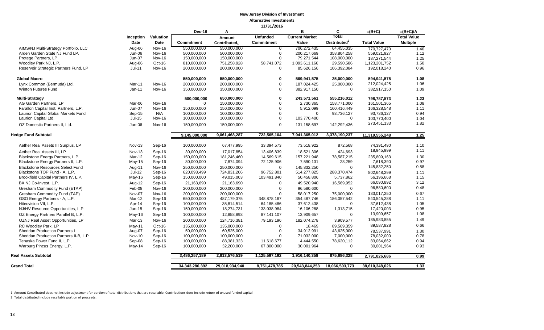|                                         |               |               | Dec-16            | Α                        |                   | в                     | C                        | $=(B+C)$           | $=(B+C)/A$         |
|-----------------------------------------|---------------|---------------|-------------------|--------------------------|-------------------|-----------------------|--------------------------|--------------------|--------------------|
|                                         | Inception     | Valuation     |                   | Amount                   | <b>Unfunded</b>   | <b>Current Market</b> | Total                    |                    | <b>Total Value</b> |
|                                         | Date          | Date          | Commitment        | Contributed <sub>1</sub> | <b>Commitment</b> | Value                 | Distributed <sup>2</sup> | <b>Total Value</b> | <b>Multiple</b>    |
| AIMS/NJ Multi-Strategy Portfolio, LLC   | Aug-06        | Nov-16        | 550,000,000       | 550,000,000              | $\overline{0}$    | 706,272,435           | 64,455,035               | 770,727,470        | 1.40               |
| Arden Garden State NJ Fund LP.          | Jun-06        | Nov-16        | 500,000,000       | 500,000,000              | $\mathbf 0$       | 200,217,669           | 358,804,258              | 559,021,927        | 1.12               |
| Protege Partners, LP                    | <b>Jun-07</b> | Nov-16        | 150,000,000       | 150,000,000              | $\mathbf 0$       | 79,271,544            | 108,000,000              | 187,271,544        | 1.25               |
| Woodley Park NJ, L.P.                   | Aug-06        | Oct-16        | 810,000,000       | 751,258,928              | 58,741,072        | 1,093,611,166         | 29,590,586               | 1,123,201,752      | 1.50               |
| Reservoir Strategic Partners Fund, LP   | $Jul-11$      | <b>Nov-16</b> | 200,000,000       | 200,000,000              | 0                 | 85,626,156            | 106,392,084              | 192,018,240        | 0.96               |
| <b>Global Macro</b>                     |               |               | 550,000,000       | 550,000,000              | $\bf{0}$          | 569,941,575           | 25,000,000               | 594,941,575        | 1.08               |
| Lynx Common (Bermuda) Ltd.              | Mar-11        | <b>Nov-16</b> | 200,000,000       | 200,000,000              | $\boldsymbol{0}$  | 187,024,425           | 25,000,000               | 212,024,425        | 1.06               |
| Winton Futures Fund                     | Jan-11        | Nov-16        | 350,000,000       | 350,000,000              | $\mathbf 0$       | 382,917,150           | $\mathbf 0$              | 382,917,150        | 1.09               |
| <b>Multi-Strategy</b>                   |               |               | 500,000,000       | 650,000,000              | $\bf{0}$          | 243,571,561           | 555,216,012              | 798,787,573        | 1.23               |
| AG Garden Partners, LP                  | Mar-06        | Nov-16        | 0                 | 150,000,000              | 0                 | 2,730,365             | 158,771,000              | 161,501,365        | 1.08               |
| Farallon Capital Inst. Partners, L.P.   | <b>Jun-07</b> | Nov-16        | 150,000,000       | 150,000,000              | $\mathbf 0$       | 5,912,099             | 160,416,449              | 166,328,548        | 1.11               |
| Laurion Capital Global Markets Fund     | $Sep-15$      | N/A           | 100,000,000       | 100,000,000              | 0                 | $\Omega$              | 93,736,127               | 93,736,127         | 0.94               |
| Laurion Capital Ltd.                    | $Jul-15$      | Nov-16        | 100,000,000       | 100,000,000              | $\boldsymbol{0}$  | 103,770,400           | $\mathbf 0$              | 103,770,400        | 1.04               |
| OZ Domestic Partners II, Ltd.           | Jun-06        | <b>Nov-16</b> | 150,000,000       | 150,000,000              | 0                 | 131,158,697           | 142,292,436              | 273,451,133        | 1.82               |
| <b>Hedge Fund Subtotal</b>              |               |               | 9,145,000,000     | 9,061,468,287            | 722,565,104       | 7,941,365,012         | 3,378,190,237            | 11,319,555,248     | 1.25               |
|                                         |               |               |                   |                          |                   |                       |                          |                    |                    |
| Aether Real Assets III Surplus, LP      | <b>Nov-13</b> | Sep-16        | 100,000,000       | 67,477,995               | 33,394,573        | 73,518,922            | 872,568                  | 74,391,490         | 1.10               |
| Aether Real Assets III, LP              | <b>Nov-13</b> | Sep-16        | 30,000,000        | 17,017,854               | 13,406,839        | 18,521,306            | 424,693                  | 18,945,999         | 1.11               |
| Blackstone Energy Partners, L.P.        | Mar-12        | Sep-16        | 150,000,000       | 181,246,460              | 14,569,615        | 157,221,948           | 78,587,215               | 235,809,163        | 1.30               |
| Blackstone Energy Partners II, L.P.     | May-15        | Sep-16        | 80,000,000        | 7,874,094                | 72,125,906        | 7,590,131             | 28,259                   | 7,618,390          | 0.97               |
| <b>Blackstone Resources Select Fund</b> | Aug-11        | <b>Nov-16</b> | 250,000,000       | 250,000,000              | $\mathbf 0$       | 145,832,250           | $\Omega$                 | 145,832,250        | 0.58               |
| Blackstone TOP Fund - A, L.P.           | $Jul-12$      | Sep-16        | 620,093,499       | 724,831,206              | 96,752,801        | 514,277,825           | 288,370,474              | 802,648,299        | 1.11               |
| Brookfield Capital Partners IV, L.P.    | May-16        | Sep-16        | 150,000,000       | 49,015,003               | 103,491,840       | 50,458,806            | 5,737,862                | 56,196,668         | 1.15               |
| BX NJ Co-Invest, L.P.                   | Aug-12        | Sep-16        | 21,163,690        | 21,163,690               | $\mathbf 0$       | 49,520,940            | 16,569,952               | 66,090,892         | 3.12               |
| Gresham Commodity Fund (ETAP)           | Feb-08        | Nov-16        | 200,000,000       | 200,000,000              | $\Omega$          | 96,580,600            | $\Omega$                 | 96,580,600         | 0.48               |
| Gresham Commodity Fund (TAP)            | Nov-07        | <b>Nov-16</b> | 200,000,000       | 200,000,000              | $\Omega$          | 58,017,250            | 75,000,000               | 133,017,250        | 0.67               |
| GSO Energy Partners - A, L.P.           | Mar-12        | Sep-16        | 650,000,000       | 487,179,375              | 348,878,167       | 354,487,746           | 186,057,542              | 540,545,288        | 1.11               |
| Hitecvision VII, L.P.                   | Apr-14        | Sep-16        | 100,000,000       | 35,814,514               | 64,185,486        | 37,612,438            | 0                        | 37,612,438         | 1.05               |
| NJ/HV Resource Opportunities, L.P.      | Jun-15        | Sep-16        | 150,000,000       | 18,274,731               | 133,038,984       | 16,106,288            | 1,313,715                | 17,420,003         | 0.95               |
| OZ Energy Partners Parallel B, L.P.     | May-16        | Sep-16        | 100,000,000       | 12,858,893               | 87,141,107        | 13,909,657            | $\Omega$                 | 13,909,657         | 1.08               |
| OZNJ Real Asset Opportunities, LP       | $Mar-13$      | Nov-16        | 200,000,000       | 124,716,381              | 79,193,196        | 182,074,278           | 3,909,577                | 185,983,855        | 1.49               |
| RC Woodley Park, LP                     | May-11        | Oct-16        | 135,000,000       | 135,000,000              | $\Omega$          | 18,469                | 89,569,359               | 89,587,828         | 0.66               |
| <b>Sheridan Production Partners I</b>   | Aug-07        | Sep-16        | 50,000,000        | 60,525,000               | $\Omega$          | 34,912,991            | 43,625,000               | 78,537,991         | 1.30               |
| Sheridan Production Partners II-B, L.P  | <b>Nov-10</b> | Sep-16        | 100,000,000       | 100,000,000              | $\Omega$          | 71,032,000            | 7,000,000                | 78,032,000         | 0.78               |
| Tenaska Power Fund II, L.P.             | Sep-08        | Sep-16        | 100,000,000       | 88,381,323               | 11,618,677        | 4,444,550             | 78,620,112               | 83,064,662         | 0.94               |
| Warburg Pincus Energy, L.P.             | May-14        | Sep-16        | 100,000,000       | 32,200,000               | 67,800,000        | 30,001,964            | $\mathbf 0$              | 30,001,964         | 0.93               |
| <b>Real Assets Subtotal</b>             |               |               | 3,486,257,189     | 2,813,576,519            | 1,125,597,192     | 1,916,140,358         | 875,686,328              | 2,791,826,686      | 0.99               |
| <b>Grand Total</b>                      |               |               | 34, 343, 286, 392 | 29,018,934,940           | 8,751,478,785     | 20,543,844,253        | 18,066,503,773           | 38,610,348,026     | 1.33               |
|                                         |               |               |                   |                          |                   |                       |                          |                    |                    |

1. Amount Contributed does not include adjustment for portion of total distributions that are recallable. Contributions does include return of unused funded capital.

2. Total distributed include recallable portion of proceeds.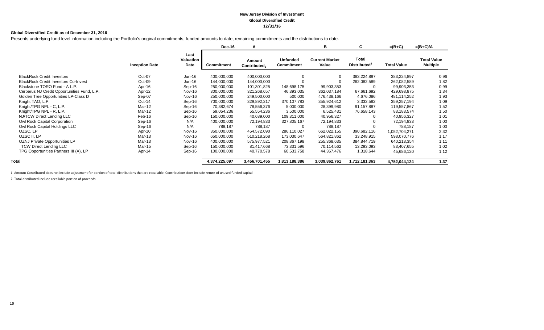#### **New Jersey Division of Investment Global Diversified Credit 12/31/16**

#### **Global Diversified Credit as of December 31, 2016**

Presents underlying fund level information including the Portfolio's original commitments, funded amounts to date, remaining commitments and the distributions to date.

|                                             |                       |                                  | Dec-16            | A                                  |                                      | в                              | C                                        | $=(B+C)$           | $=(B+C)/A$                            |
|---------------------------------------------|-----------------------|----------------------------------|-------------------|------------------------------------|--------------------------------------|--------------------------------|------------------------------------------|--------------------|---------------------------------------|
|                                             | <b>Inception Date</b> | Last<br><b>Valuation</b><br>Date | <b>Commitment</b> | Amount<br>Contributed <sub>1</sub> | <b>Unfunded</b><br><b>Commitment</b> | <b>Current Market</b><br>Value | <b>Total</b><br>Distributed <sup>2</sup> | <b>Total Value</b> | <b>Total Value</b><br><b>Multiple</b> |
| <b>BlackRock Credit Investors</b>           | Oct-07                | Jun-16                           | 400,000,000       | 400,000,000                        | $\Omega$                             |                                | 383,224,897                              | 383,224,897        | 0.96                                  |
| <b>BlackRock Credit Investors Co-Invest</b> | Oct-09                | Jun-16                           | 144,000,000       | 144,000,000                        |                                      |                                | 262,082,589                              | 262,082,589        | 1.82                                  |
| Blackstone TORO Fund - A L.P.               | Apr-16                | Sep-16                           | 250,000,000       | 101,301,825                        | 148,698,175                          | 99,903,353                     | 0                                        | 99,903,353         | 0.99                                  |
| Cerberus NJ Credit Opportunities Fund, L.P. | Apr-12                | Nov-16                           | 300,000,000       | 321,268,657                        | 46,393,035                           | 362,037,184                    | 67,661,692                               | 429,698,875        | 1.34                                  |
| Golden Tree Opportunities LP-Class D        | Sep-07                | Nov-16                           | 250,000,000       | 249,500,000                        | 500,000                              | 476,438,166                    | 4,676,086                                | 481,114,252        | 1.93                                  |
| Knight TAO, L.P.                            | $Oct-14$              | Sep-16                           | 700,000,000       | 329,892,217                        | 370,107,783                          | 355,924,612                    | 3,332,582                                | 359,257,194        | 1.09                                  |
| Knight/TPG NPL - C, L.P.                    | Mar-12                | Sep-16                           | 70,382,674        | 78,556,376                         | 5,000,000                            | 28,399,980                     | 91,157,887                               | 119,557,867        | 1.52                                  |
| Knight/TPG NPL - R, L.P.                    | Mar-12                | Sep-16                           | 59,054,236        | 55,554,236                         | 3,500,000                            | 6,525,431                      | 76,658,143                               | 83,183,574         | 1.50                                  |
| NJ/TCW Direct Lending LLC                   | Feb-16                | Sep-16                           | 150,000,000       | 40,689,000                         | 109,311,000                          | 40,956,327                     |                                          | 40,956,327         | 1.01                                  |
| Owl Rock Capital Corporation                | Sep-16                | N/A                              | 400,000,000       | 72,194,833                         | 327,805,167                          | 72,194,833                     |                                          | 72,194,833         | 1.00                                  |
| Owl Rock Capital Holdings LLC               | Sep-16                | N/A                              | 788,187           | 788,187                            | $\Omega$                             | 788,187                        |                                          | 788,187            | 1.00                                  |
| OZSC, LP                                    | Apr-10                | Nov-16                           | 350,000,000       | 454,572,090                        | 286,110,027                          | 662,022,155                    | 390,682,116                              | 1,052,704,271      | 2.32                                  |
| OZSC II, LP                                 | Mar-13                | Nov-16                           | 650,000,000       | 510,218,268                        | 173,030,647                          | 564,821,862                    | 33,248,915                               | 598,070,776        | 1.17                                  |
| <b>OZNJ Private Opportunities LP</b>        | Mar-13                | Nov-16                           | 400,000,000       | 575,977,521                        | 208,867,198                          | 255,368,635                    | 384,844,719                              | 640,213,354        | 1.11                                  |
| <b>TCW Direct Lending LLC</b>               | Mar-15                | Sep-16                           | 150,000,000       | 81,417,668                         | 73,331,596                           | 70,114,562                     | 13,293,093                               | 83,407,655         | 1.02                                  |
| TPG Opportunities Partners III (A), LP      | Apr-14                | Sep-16                           | 100,000,000       | 40,770,578                         | 60,533,758                           | 44,367,476                     | 1,318,644                                | 45,686,120         | 1.12                                  |
| Total                                       |                       |                                  | 4,374,225,097     | 3,456,701,455                      | 1,813,188,386                        | 3.039,862,761                  | 1,712,181,363                            | 4,752,044,124      | 1.37                                  |

1. Amount Contributed does not include adjustment for portion of total distributions that are recallable. Contributions does include return of unused funded capital.

2. Total distributed include recallable portion of proceeds.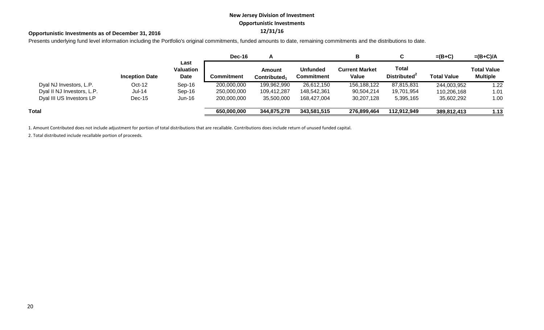# **New Jersey Division of Investment Opportunistic Investments**

# **12/31/16 Opportunistic Investments as of December 31, 2016**

Presents underlying fund level information including the Portfolio's original commitments, funded amounts to date, remaining commitments and the distributions to date.

|                            |                       |                           | Dec-16      |                                           |                                      | в                              |                                          | $=(B+C)$           | $=(B+C)/A$                            |
|----------------------------|-----------------------|---------------------------|-------------|-------------------------------------------|--------------------------------------|--------------------------------|------------------------------------------|--------------------|---------------------------------------|
|                            | <b>Inception Date</b> | Last<br>Valuation<br>Date | Commitment  | <b>Amount</b><br>Contributed <sub>1</sub> | <b>Unfunded</b><br><b>Commitment</b> | <b>Current Market</b><br>Value | <b>Total</b><br>Distributed <sup>2</sup> | <b>Total Value</b> | <b>Total Value</b><br><b>Multiple</b> |
| Dyal NJ Investors, L.P.    | $Oct-12$              | Sep-16                    | 200,000,000 | 199,962,990                               | 26,612,150                           | 156,188,122                    | 87,815,831                               | 244,003,952        | 1.22                                  |
| Dyal II NJ Investors, L.P. | <b>Jul-14</b>         | $Sep-16$                  | 250,000,000 | 109,412,287                               | 148,542,361                          | 90,504,214                     | 19,701,954                               | 110,206,168        | 1.01                                  |
| Dyal III US Investors LP   | $Dec-15$              | $Jun-16$                  | 200,000,000 | 35,500,000                                | 168,427,004                          | 30,207,128                     | 5,395,165                                | 35,602,292         | 1.00                                  |
| Total                      |                       |                           | 650,000,000 | 344,875,278                               | 343,581,515                          | 276,899,464                    | 112,912,949                              | 389,812,413        | 1.13                                  |

1. Amount Contributed does not include adjustment for portion of total distributions that are recallable. Contributions does include return of unused funded capital.

2. Total distributed include recallable portion of proceeds.